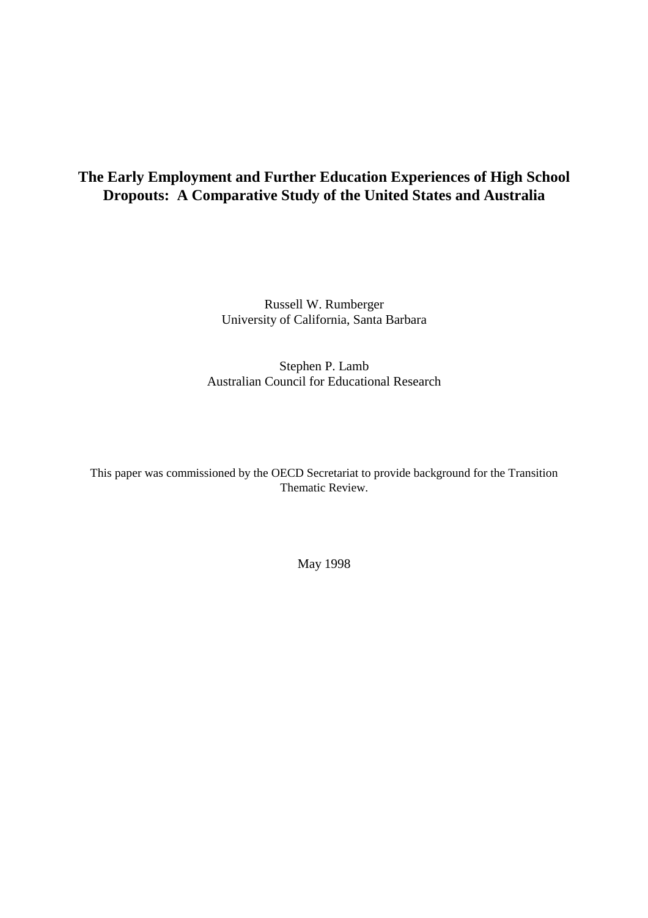# **The Early Employment and Further Education Experiences of High School Dropouts: A Comparative Study of the United States and Australia**

Russell W. Rumberger University of California, Santa Barbara

Stephen P. Lamb Australian Council for Educational Research

This paper was commissioned by the OECD Secretariat to provide background for the Transition Thematic Review.

May 1998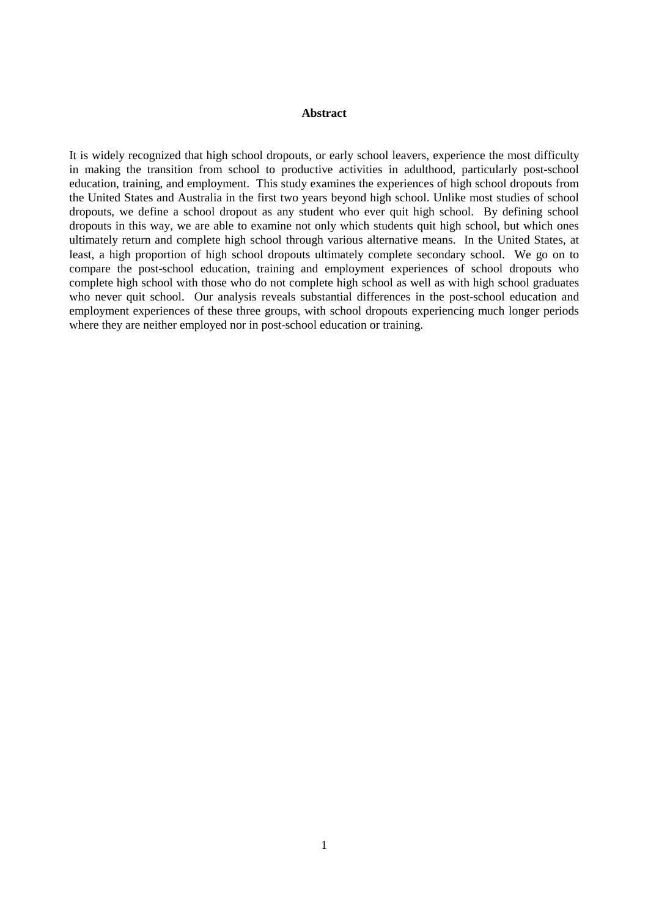#### **Abstract**

It is widely recognized that high school dropouts, or early school leavers, experience the most difficulty in making the transition from school to productive activities in adulthood, particularly post-school education, training, and employment. This study examines the experiences of high school dropouts from the United States and Australia in the first two years beyond high school. Unlike most studies of school dropouts, we define a school dropout as any student who ever quit high school. By defining school dropouts in this way, we are able to examine not only which students quit high school, but which ones ultimately return and complete high school through various alternative means. In the United States, at least, a high proportion of high school dropouts ultimately complete secondary school. We go on to compare the post-school education, training and employment experiences of school dropouts who complete high school with those who do not complete high school as well as with high school graduates who never quit school. Our analysis reveals substantial differences in the post-school education and employment experiences of these three groups, with school dropouts experiencing much longer periods where they are neither employed nor in post-school education or training.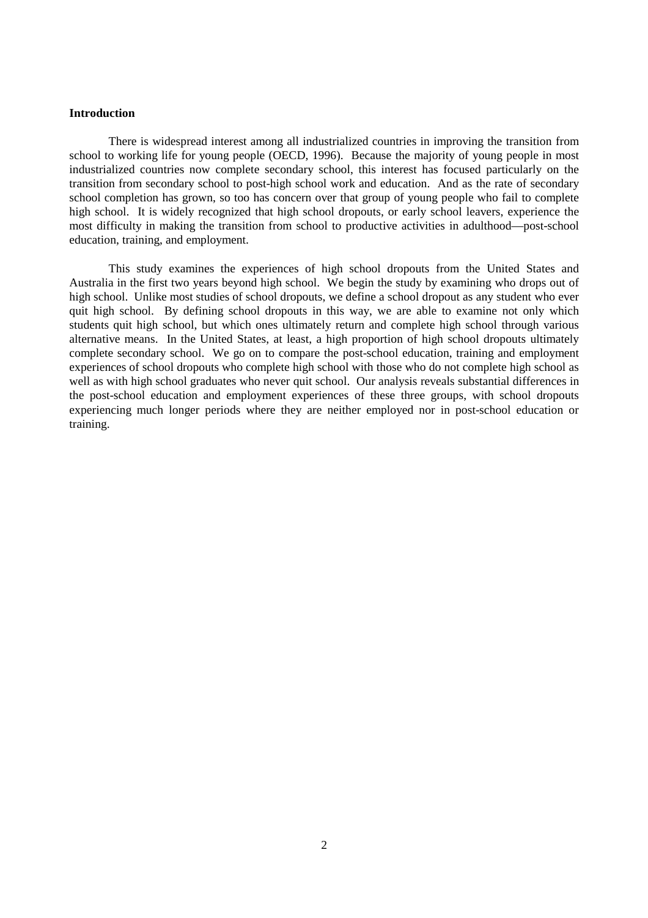#### **Introduction**

There is widespread interest among all industrialized countries in improving the transition from school to working life for young people (OECD, 1996). Because the majority of young people in most industrialized countries now complete secondary school, this interest has focused particularly on the transition from secondary school to post-high school work and education. And as the rate of secondary school completion has grown, so too has concern over that group of young people who fail to complete high school. It is widely recognized that high school dropouts, or early school leavers, experience the most difficulty in making the transition from school to productive activities in adulthood—post-school education, training, and employment.

This study examines the experiences of high school dropouts from the United States and Australia in the first two years beyond high school. We begin the study by examining who drops out of high school. Unlike most studies of school dropouts, we define a school dropout as any student who ever quit high school. By defining school dropouts in this way, we are able to examine not only which students quit high school, but which ones ultimately return and complete high school through various alternative means. In the United States, at least, a high proportion of high school dropouts ultimately complete secondary school. We go on to compare the post-school education, training and employment experiences of school dropouts who complete high school with those who do not complete high school as well as with high school graduates who never quit school. Our analysis reveals substantial differences in the post-school education and employment experiences of these three groups, with school dropouts experiencing much longer periods where they are neither employed nor in post-school education or training.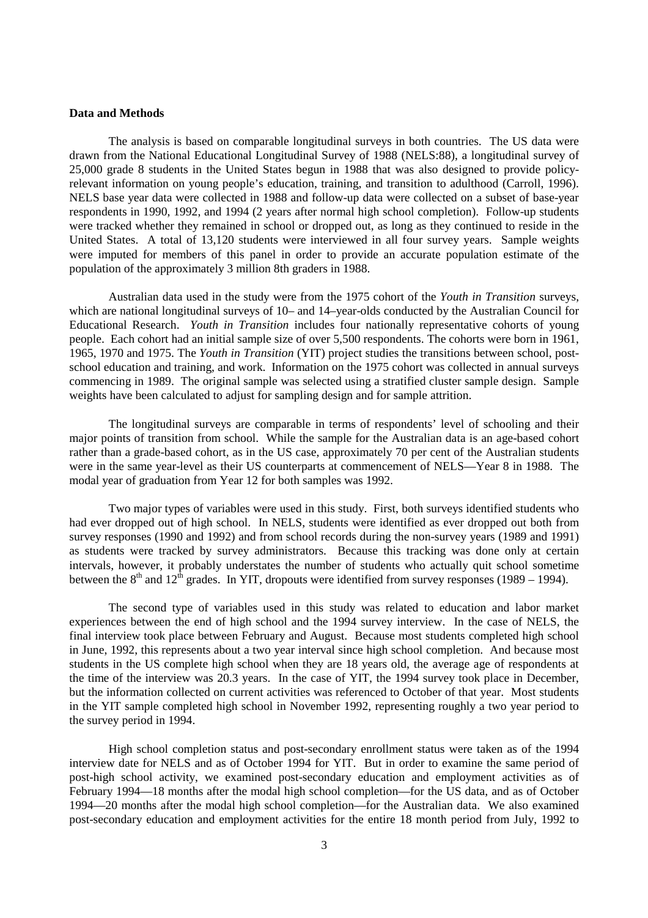#### **Data and Methods**

The analysis is based on comparable longitudinal surveys in both countries. The US data were drawn from the National Educational Longitudinal Survey of 1988 (NELS:88), a longitudinal survey of 25,000 grade 8 students in the United States begun in 1988 that was also designed to provide policyrelevant information on young people's education, training, and transition to adulthood (Carroll, 1996). NELS base year data were collected in 1988 and follow-up data were collected on a subset of base-year respondents in 1990, 1992, and 1994 (2 years after normal high school completion). Follow-up students were tracked whether they remained in school or dropped out, as long as they continued to reside in the United States. A total of 13,120 students were interviewed in all four survey years. Sample weights were imputed for members of this panel in order to provide an accurate population estimate of the population of the approximately 3 million 8th graders in 1988.

Australian data used in the study were from the 1975 cohort of the *Youth in Transition* surveys, which are national longitudinal surveys of 10– and 14–year-olds conducted by the Australian Council for Educational Research. *Youth in Transition* includes four nationally representative cohorts of young people. Each cohort had an initial sample size of over 5,500 respondents. The cohorts were born in 1961, 1965, 1970 and 1975. The *Youth in Transition* (YIT) project studies the transitions between school, postschool education and training, and work. Information on the 1975 cohort was collected in annual surveys commencing in 1989. The original sample was selected using a stratified cluster sample design. Sample weights have been calculated to adjust for sampling design and for sample attrition.

The longitudinal surveys are comparable in terms of respondents' level of schooling and their major points of transition from school. While the sample for the Australian data is an age-based cohort rather than a grade-based cohort, as in the US case, approximately 70 per cent of the Australian students were in the same year-level as their US counterparts at commencement of NELS—Year 8 in 1988. The modal year of graduation from Year 12 for both samples was 1992.

Two major types of variables were used in this study. First, both surveys identified students who had ever dropped out of high school. In NELS, students were identified as ever dropped out both from survey responses (1990 and 1992) and from school records during the non-survey years (1989 and 1991) as students were tracked by survey administrators. Because this tracking was done only at certain intervals, however, it probably understates the number of students who actually quit school sometime between the  $8<sup>th</sup>$  and  $12<sup>th</sup>$  grades. In YIT, dropouts were identified from survey responses (1989 – 1994).

The second type of variables used in this study was related to education and labor market experiences between the end of high school and the 1994 survey interview. In the case of NELS, the final interview took place between February and August. Because most students completed high school in June, 1992, this represents about a two year interval since high school completion. And because most students in the US complete high school when they are 18 years old, the average age of respondents at the time of the interview was 20.3 years. In the case of YIT, the 1994 survey took place in December, but the information collected on current activities was referenced to October of that year. Most students in the YIT sample completed high school in November 1992, representing roughly a two year period to the survey period in 1994.

High school completion status and post-secondary enrollment status were taken as of the 1994 interview date for NELS and as of October 1994 for YIT. But in order to examine the same period of post-high school activity, we examined post-secondary education and employment activities as of February 1994—18 months after the modal high school completion—for the US data, and as of October 1994—20 months after the modal high school completion—for the Australian data. We also examined post-secondary education and employment activities for the entire 18 month period from July, 1992 to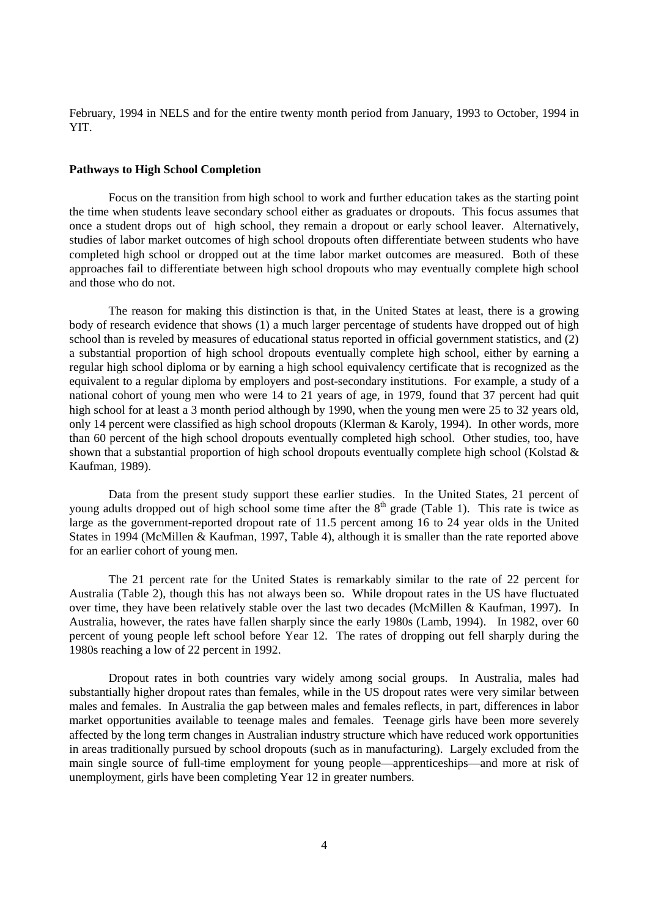February, 1994 in NELS and for the entire twenty month period from January, 1993 to October, 1994 in YIT.

### **Pathways to High School Completion**

Focus on the transition from high school to work and further education takes as the starting point the time when students leave secondary school either as graduates or dropouts. This focus assumes that once a student drops out of high school, they remain a dropout or early school leaver. Alternatively, studies of labor market outcomes of high school dropouts often differentiate between students who have completed high school or dropped out at the time labor market outcomes are measured. Both of these approaches fail to differentiate between high school dropouts who may eventually complete high school and those who do not.

The reason for making this distinction is that, in the United States at least, there is a growing body of research evidence that shows (1) a much larger percentage of students have dropped out of high school than is reveled by measures of educational status reported in official government statistics, and (2) a substantial proportion of high school dropouts eventually complete high school, either by earning a regular high school diploma or by earning a high school equivalency certificate that is recognized as the equivalent to a regular diploma by employers and post-secondary institutions. For example, a study of a national cohort of young men who were 14 to 21 years of age, in 1979, found that 37 percent had quit high school for at least a 3 month period although by 1990, when the young men were 25 to 32 years old, only 14 percent were classified as high school dropouts (Klerman & Karoly, 1994). In other words, more than 60 percent of the high school dropouts eventually completed high school. Other studies, too, have shown that a substantial proportion of high school dropouts eventually complete high school (Kolstad  $\&$ Kaufman, 1989).

Data from the present study support these earlier studies. In the United States, 21 percent of young adults dropped out of high school some time after the  $8<sup>th</sup>$  grade (Table 1). This rate is twice as large as the government-reported dropout rate of 11.5 percent among 16 to 24 year olds in the United States in 1994 (McMillen & Kaufman, 1997, Table 4), although it is smaller than the rate reported above for an earlier cohort of young men.

The 21 percent rate for the United States is remarkably similar to the rate of 22 percent for Australia (Table 2), though this has not always been so. While dropout rates in the US have fluctuated over time, they have been relatively stable over the last two decades (McMillen & Kaufman, 1997). In Australia, however, the rates have fallen sharply since the early 1980s (Lamb, 1994). In 1982, over 60 percent of young people left school before Year 12. The rates of dropping out fell sharply during the 1980s reaching a low of 22 percent in 1992.

Dropout rates in both countries vary widely among social groups. In Australia, males had substantially higher dropout rates than females, while in the US dropout rates were very similar between males and females. In Australia the gap between males and females reflects, in part, differences in labor market opportunities available to teenage males and females. Teenage girls have been more severely affected by the long term changes in Australian industry structure which have reduced work opportunities in areas traditionally pursued by school dropouts (such as in manufacturing). Largely excluded from the main single source of full-time employment for young people—apprenticeships—and more at risk of unemployment, girls have been completing Year 12 in greater numbers.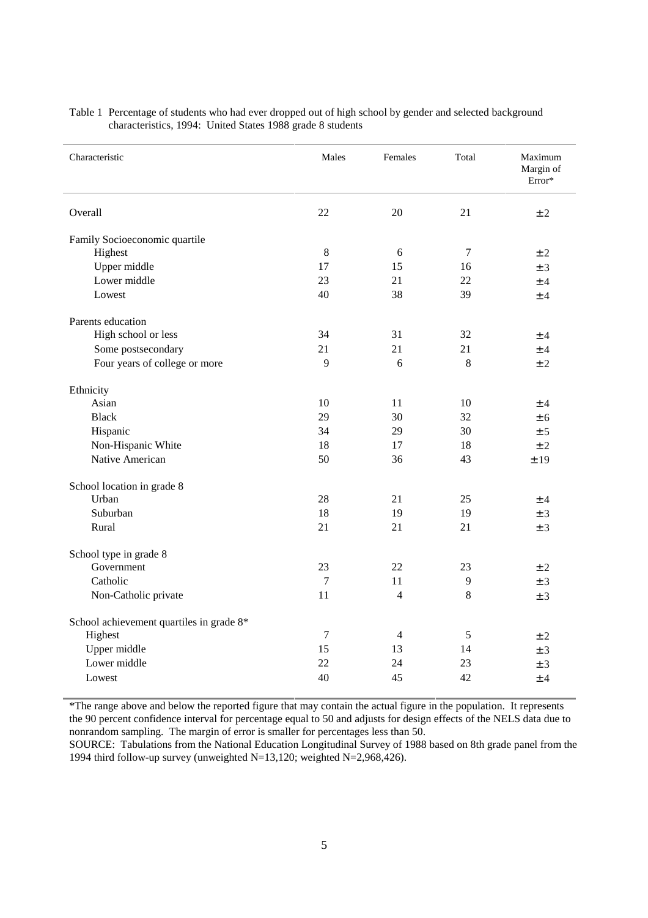| Characteristic                           | Males  | Females        | Total          | Maximum<br>Margin of<br>Error* |
|------------------------------------------|--------|----------------|----------------|--------------------------------|
| Overall                                  | 22     | 20             | 21             | ± 2                            |
| Family Socioeconomic quartile            |        |                |                |                                |
| Highest                                  | 8      | 6              | $\overline{7}$ | ±2                             |
| Upper middle                             | 17     | 15             | 16             | $±$ 3                          |
| Lower middle                             | 23     | 21             | 22             | ±4                             |
| Lowest                                   | 40     | 38             | 39             | ±4                             |
| Parents education                        |        |                |                |                                |
| High school or less                      | 34     | 31             | 32             | ±4                             |
| Some postsecondary                       | 21     | 21             | 21             | ±4                             |
| Four years of college or more            | 9      | 6              | 8              | ±2                             |
| Ethnicity                                |        |                |                |                                |
| Asian                                    | 10     | 11             | 10             | ±4                             |
| <b>Black</b>                             | 29     | 30             | 32             | ± 6                            |
| Hispanic                                 | 34     | 29             | 30             | ± 5                            |
| Non-Hispanic White                       | 18     | 17             | 18             | ± 2                            |
| Native American                          | 50     | 36             | 43             | ±19                            |
| School location in grade 8               |        |                |                |                                |
| Urban                                    | 28     | 21             | 25             | ±4                             |
| Suburban                                 | 18     | 19             | 19             | ± 3                            |
| Rural                                    | 21     | 21             | 21             | ± 3                            |
| School type in grade 8                   |        |                |                |                                |
| Government                               | 23     | 22             | 23             | ±2                             |
| Catholic                                 | $\tau$ | 11             | 9              | ± 3                            |
| Non-Catholic private                     | 11     | $\overline{4}$ | $\,8\,$        | ± 3                            |
| School achievement quartiles in grade 8* |        |                |                |                                |
| Highest                                  | 7      | $\overline{4}$ | 5              | ± 2                            |
| Upper middle                             | 15     | 13             | 14             | ± 3                            |
| Lower middle                             | 22     | 24             | 23             | ± 3                            |
| Lowest                                   | 40     | 45             | 42             | ±4                             |

Table 1 Percentage of students who had ever dropped out of high school by gender and selected background characteristics, 1994: United States 1988 grade 8 students

\*The range above and below the reported figure that may contain the actual figure in the population. It represents the 90 percent confidence interval for percentage equal to 50 and adjusts for design effects of the NELS data due to nonrandom sampling. The margin of error is smaller for percentages less than 50.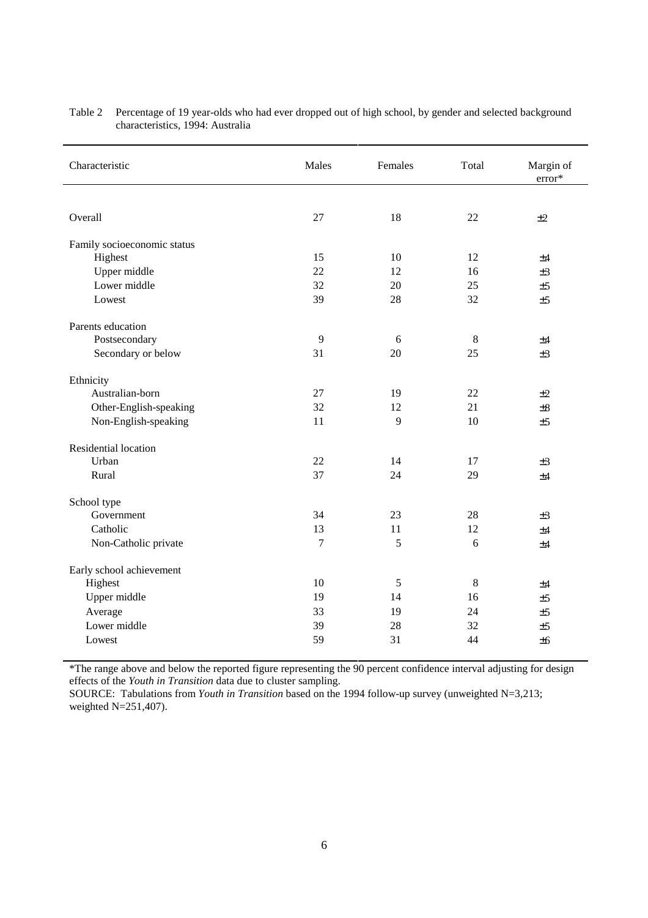| Characteristic              | Males          | Females | Total | Margin of<br>error* |
|-----------------------------|----------------|---------|-------|---------------------|
|                             |                |         |       |                     |
| Overall                     | 27             | 18      | 22    | ±2                  |
| Family socioeconomic status |                |         |       |                     |
| Highest                     | 15             | 10      | 12    | ±4                  |
| Upper middle                | 22             | 12      | 16    | $\pm 3$             |
| Lower middle                | 32             | 20      | 25    | ±5                  |
| Lowest                      | 39             | 28      | 32    | ±5                  |
| Parents education           |                |         |       |                     |
| Postsecondary               | 9              | 6       | 8     | ±4                  |
| Secondary or below          | 31             | 20      | 25    | $\pm 3$             |
| Ethnicity                   |                |         |       |                     |
| Australian-born             | 27             | 19      | 22    | ±2                  |
| Other-English-speaking      | 32             | 12      | 21    | $\pm 8$             |
| Non-English-speaking        | 11             | 9       | 10    | ±5                  |
| Residential location        |                |         |       |                     |
| Urban                       | 22             | 14      | 17    | $\pm 3$             |
| Rural                       | 37             | 24      | 29    | ±4                  |
| School type                 |                |         |       |                     |
| Government                  | 34             | 23      | 28    | $\pm 3$             |
| Catholic                    | 13             | 11      | 12    | ±4                  |
| Non-Catholic private        | $\overline{7}$ | 5       | 6     | ±4                  |
| Early school achievement    |                |         |       |                     |
| Highest                     | 10             | 5       | 8     | ±4                  |
| Upper middle                | 19             | 14      | 16    | ±5                  |
| Average                     | 33             | 19      | 24    | ±5                  |
| Lower middle                | 39             | 28      | 32    | ±5                  |
| Lowest                      | 59             | 31      | 44    | ±6                  |

Table 2 Percentage of 19 year-olds who had ever dropped out of high school, by gender and selected background characteristics, 1994: Australia

\*The range above and below the reported figure representing the 90 percent confidence interval adjusting for design effects of the *Youth in Transition* data due to cluster sampling.

SOURCE: Tabulations from *Youth in Transition* based on the 1994 follow-up survey (unweighted N=3,213; weighted N=251,407).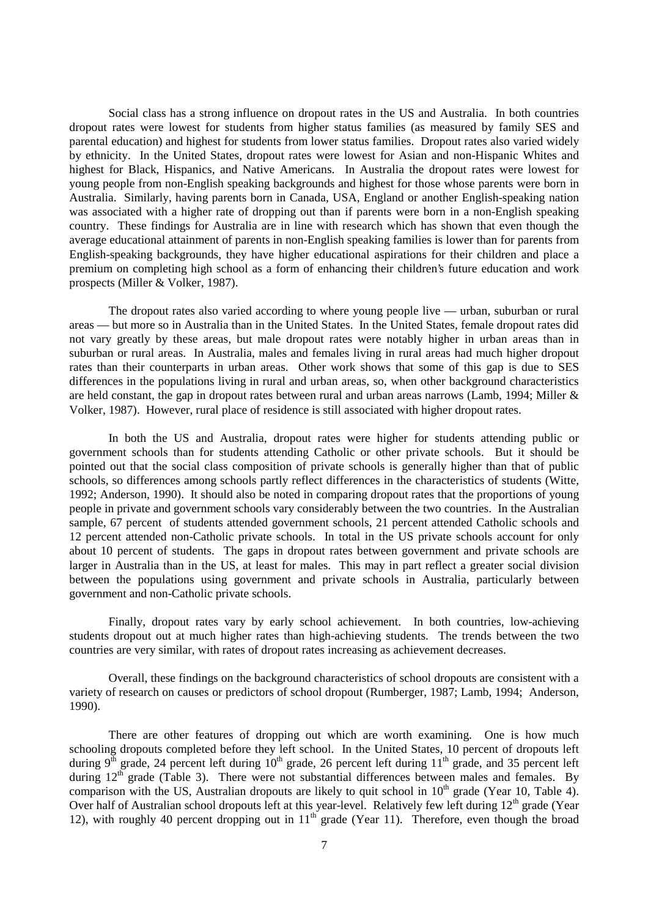Social class has a strong influence on dropout rates in the US and Australia. In both countries dropout rates were lowest for students from higher status families (as measured by family SES and parental education) and highest for students from lower status families. Dropout rates also varied widely by ethnicity. In the United States, dropout rates were lowest for Asian and non-Hispanic Whites and highest for Black, Hispanics, and Native Americans. In Australia the dropout rates were lowest for young people from non-English speaking backgrounds and highest for those whose parents were born in Australia. Similarly, having parents born in Canada, USA, England or another English-speaking nation was associated with a higher rate of dropping out than if parents were born in a non-English speaking country. These findings for Australia are in line with research which has shown that even though the average educational attainment of parents in non-English speaking families is lower than for parents from English-speaking backgrounds, they have higher educational aspirations for their children and place a premium on completing high school as a form of enhancing their children's future education and work prospects (Miller & Volker, 1987).

The dropout rates also varied according to where young people live — urban, suburban or rural areas — but more so in Australia than in the United States. In the United States, female dropout rates did not vary greatly by these areas, but male dropout rates were notably higher in urban areas than in suburban or rural areas. In Australia, males and females living in rural areas had much higher dropout rates than their counterparts in urban areas. Other work shows that some of this gap is due to SES differences in the populations living in rural and urban areas, so, when other background characteristics are held constant, the gap in dropout rates between rural and urban areas narrows (Lamb, 1994; Miller & Volker, 1987). However, rural place of residence is still associated with higher dropout rates.

In both the US and Australia, dropout rates were higher for students attending public or government schools than for students attending Catholic or other private schools. But it should be pointed out that the social class composition of private schools is generally higher than that of public schools, so differences among schools partly reflect differences in the characteristics of students (Witte, 1992; Anderson, 1990). It should also be noted in comparing dropout rates that the proportions of young people in private and government schools vary considerably between the two countries. In the Australian sample, 67 percent of students attended government schools, 21 percent attended Catholic schools and 12 percent attended non-Catholic private schools. In total in the US private schools account for only about 10 percent of students. The gaps in dropout rates between government and private schools are larger in Australia than in the US, at least for males. This may in part reflect a greater social division between the populations using government and private schools in Australia, particularly between government and non-Catholic private schools.

Finally, dropout rates vary by early school achievement. In both countries, low-achieving students dropout out at much higher rates than high-achieving students. The trends between the two countries are very similar, with rates of dropout rates increasing as achievement decreases.

Overall, these findings on the background characteristics of school dropouts are consistent with a variety of research on causes or predictors of school dropout (Rumberger, 1987; Lamb, 1994; Anderson, 1990).

There are other features of dropping out which are worth examining. One is how much schooling dropouts completed before they left school. In the United States, 10 percent of dropouts left during  $9^{\text{th}}$  grade, 24 percent left during  $10^{\text{th}}$  grade, 26 percent left during  $11^{\text{th}}$  grade, and 35 percent left during 12<sup>th</sup> grade (Table 3). There were not substantial differences between males and females. By comparison with the US, Australian dropouts are likely to quit school in  $10<sup>th</sup>$  grade (Year 10, Table 4). Over half of Australian school dropouts left at this year-level. Relatively few left during 12<sup>th</sup> grade (Year 12), with roughly 40 percent dropping out in  $11<sup>th</sup>$  grade (Year 11). Therefore, even though the broad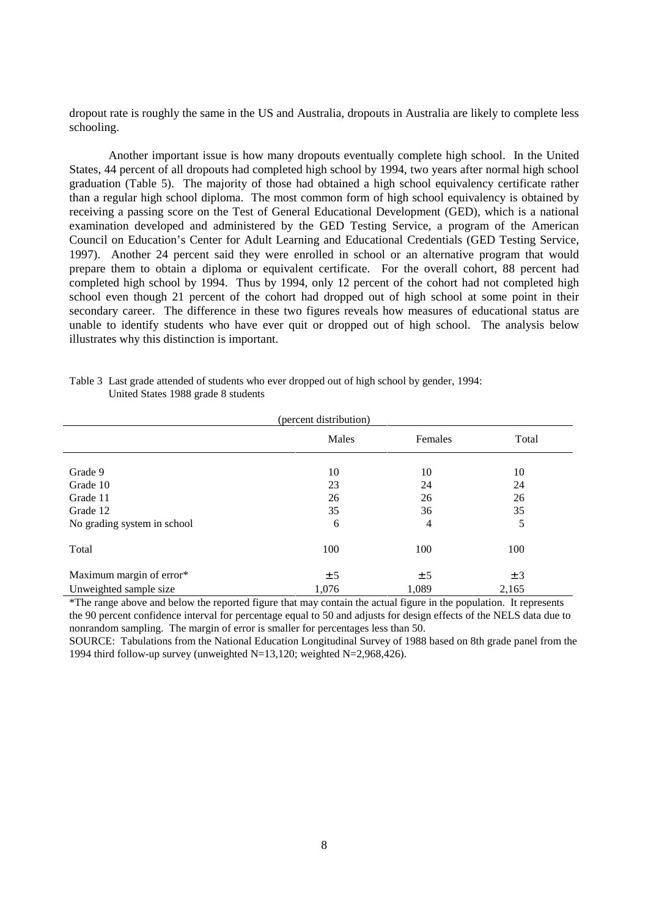dropout rate is roughly the same in the US and Australia, dropouts in Australia are likely to complete less schooling.

Another important issue is how many dropouts eventually complete high school. In the United States, 44 percent of all dropouts had completed high school by 1994, two years after normal high school graduation (Table 5). The majority of those had obtained a high school equivalency certificate rather than a regular high school diploma. The most common form of high school equivalency is obtained by receiving a passing score on the Test of General Educational Development (GED), which is a national examination developed and administered by the GED Testing Service, a program of the American Council on Education's Center for Adult Learning and Educational Credentials (GED Testing Service, 1997). Another 24 percent said they were enrolled in school or an alternative program that would prepare them to obtain a diploma or equivalent certificate. For the overall cohort, 88 percent had completed high school by 1994. Thus by 1994, only 12 percent of the cohort had not completed high school even though 21 percent of the cohort had dropped out of high school at some point in their secondary career. The difference in these two figures reveals how measures of educational status are unable to identify students who have ever quit or dropped out of high school. The analysis below illustrates why this distinction is important.

|                             | (percent distribution) |         |         |
|-----------------------------|------------------------|---------|---------|
|                             | Males                  | Females | Total   |
|                             |                        |         |         |
| Grade 9                     | 10                     | 10      | 10      |
| Grade 10                    | 23                     | 24      | 24      |
| Grade 11                    | 26                     | 26      | 26      |
| Grade 12                    | 35                     | 36      | 35      |
| No grading system in school | 6                      | 4       | 5       |
| Total                       | 100                    | 100     | 100     |
| Maximum margin of error*    | ± 5                    | ± 5     | $\pm$ 3 |
| Unweighted sample size      | 1,076                  | 1,089   | 2,165   |

Table 3 Last grade attended of students who ever dropped out of high school by gender, 1994: United States 1988 grade 8 students

\*The range above and below the reported figure that may contain the actual figure in the population. It represents the 90 percent confidence interval for percentage equal to 50 and adjusts for design effects of the NELS data due to nonrandom sampling. The margin of error is smaller for percentages less than 50.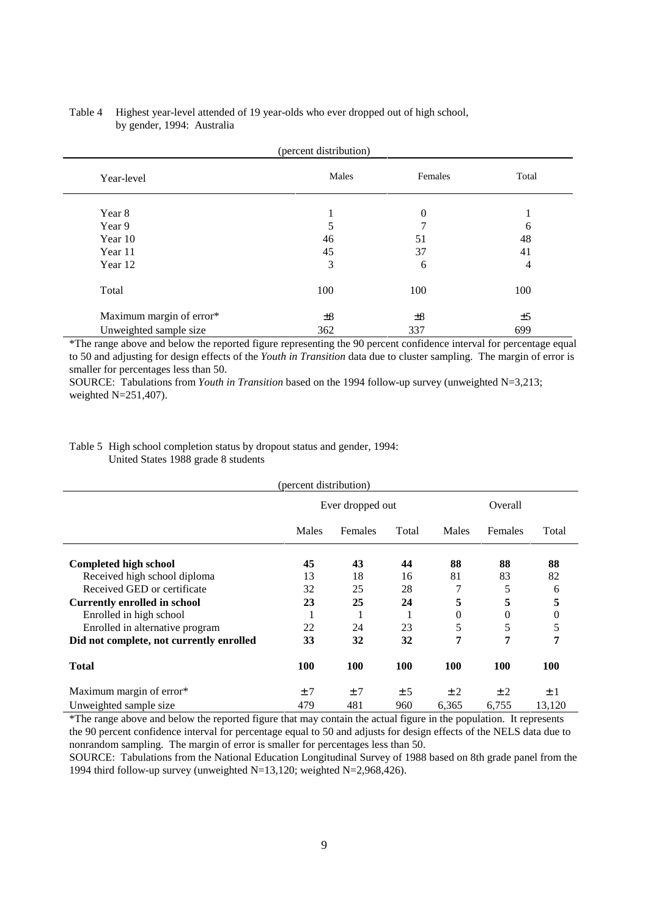| (percent distribution)   |                  |          |       |  |
|--------------------------|------------------|----------|-------|--|
| Year-level               | Males<br>Females |          | Total |  |
| Year 8                   | ı                | $\theta$ |       |  |
| Year 9                   | 5                | 7        | 6     |  |
| Year 10                  | 46               | 51       | 48    |  |
| Year 11                  | 45               | 37       | 41    |  |
| Year 12                  | 3                | 6        |       |  |
| Total                    | 100              | 100      | 100   |  |
| Maximum margin of error* | $\pm 8$          | $\pm 8$  | ±5    |  |
| Unweighted sample size   | 362              | 337      | 699   |  |

### Table 4 Highest year-level attended of 19 year-olds who ever dropped out of high school, by gender, 1994: Australia

\*The range above and below the reported figure representing the 90 percent confidence interval for percentage equal to 50 and adjusting for design effects of the *Youth in Transition* data due to cluster sampling. The margin of error is smaller for percentages less than 50.

SOURCE: Tabulations from *Youth in Transition* based on the 1994 follow-up survey (unweighted N=3,213; weighted N=251,407).

## Table 5 High school completion status by dropout status and gender, 1994: United States 1988 grade 8 students

|                                          | (percent distribution) |         |       |                |          |            |
|------------------------------------------|------------------------|---------|-------|----------------|----------|------------|
|                                          | Ever dropped out       |         |       | Overall        |          |            |
|                                          | Males                  | Females | Total | Males          | Females  | Total      |
| <b>Completed high school</b>             | 45                     | 43      | 44    | 88             | 88       | 88         |
| Received high school diploma             | 13                     | 18      | 16    | 81             | 83       | 82         |
| Received GED or certificate              | 32                     | 25      | 28    | 7              | 5        | 6          |
| <b>Currently enrolled in school</b>      | 23                     | 25      | 24    | 5              | 5        | 5          |
| Enrolled in high school                  | 1                      |         |       | $\overline{0}$ | $\theta$ | 0          |
| Enrolled in alternative program          | 22                     | 24      | 23    | 5              | 5        | 5          |
| Did not complete, not currently enrolled | 33                     | 32      | 32    | 7              | 7        | 7          |
| <b>Total</b>                             | <b>100</b>             | 100     | 100   | 100            | 100      | <b>100</b> |
| Maximum margin of error*                 | ±7                     | ±7      | ± 5   | ±2             | ±2       | ±1         |
| Unweighted sample size                   | 479                    | 481     | 960   | 6,365          | 6,755    | 13,120     |

\*The range above and below the reported figure that may contain the actual figure in the population. It represents the 90 percent confidence interval for percentage equal to 50 and adjusts for design effects of the NELS data due to nonrandom sampling. The margin of error is smaller for percentages less than 50.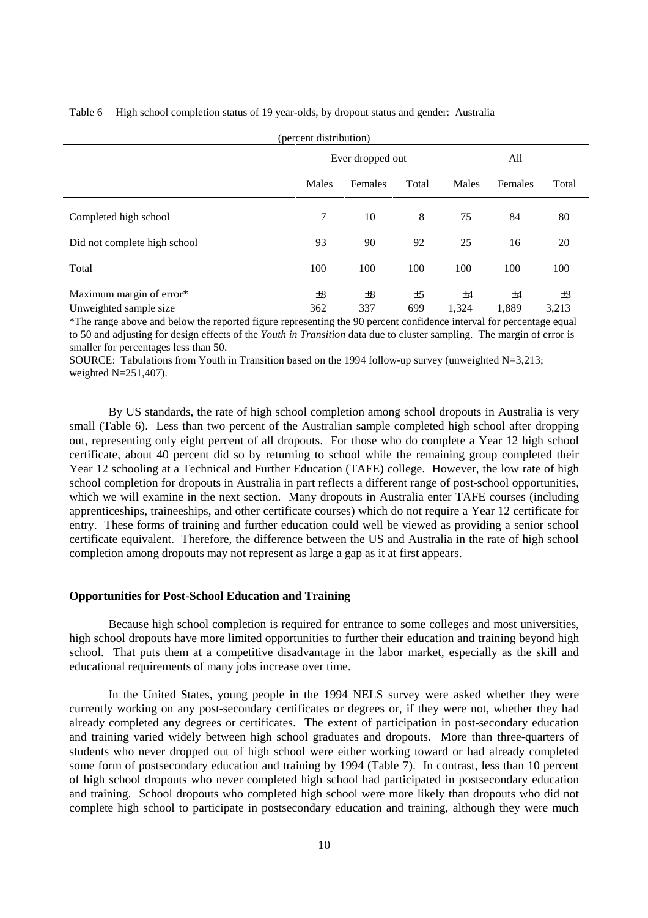Table 6 High school completion status of 19 year-olds, by dropout status and gender: Australia

| (percent distribution)                              |                  |                |           |             |             |                  |  |
|-----------------------------------------------------|------------------|----------------|-----------|-------------|-------------|------------------|--|
|                                                     | Ever dropped out |                |           | All         |             |                  |  |
|                                                     | Males            | Females        | Total     | Males       | Females     | Total            |  |
| Completed high school                               | $\tau$           | 10             | 8         | 75          | 84          | 80               |  |
| Did not complete high school                        | 93               | 90             | 92        | 25          | 16          | 20               |  |
| Total                                               | 100              | 100            | 100       | 100         | 100         | 100              |  |
| Maximum margin of error*<br>Unweighted sample size. | $\pm 8$<br>362   | $\pm 8$<br>337 | ±5<br>699 | ±4<br>1,324 | ±4<br>1,889 | $\pm 3$<br>3,213 |  |

\*The range above and below the reported figure representing the 90 percent confidence interval for percentage equal to 50 and adjusting for design effects of the *Youth in Transition* data due to cluster sampling. The margin of error is smaller for percentages less than 50.

SOURCE: Tabulations from Youth in Transition based on the 1994 follow-up survey (unweighted N=3,213; weighted  $N=251,407$ ).

By US standards, the rate of high school completion among school dropouts in Australia is very small (Table 6). Less than two percent of the Australian sample completed high school after dropping out, representing only eight percent of all dropouts. For those who do complete a Year 12 high school certificate, about 40 percent did so by returning to school while the remaining group completed their Year 12 schooling at a Technical and Further Education (TAFE) college. However, the low rate of high school completion for dropouts in Australia in part reflects a different range of post-school opportunities, which we will examine in the next section. Many dropouts in Australia enter TAFE courses (including apprenticeships, traineeships, and other certificate courses) which do not require a Year 12 certificate for entry. These forms of training and further education could well be viewed as providing a senior school certificate equivalent. Therefore, the difference between the US and Australia in the rate of high school completion among dropouts may not represent as large a gap as it at first appears.

#### **Opportunities for Post-School Education and Training**

Because high school completion is required for entrance to some colleges and most universities, high school dropouts have more limited opportunities to further their education and training beyond high school. That puts them at a competitive disadvantage in the labor market, especially as the skill and educational requirements of many jobs increase over time.

In the United States, young people in the 1994 NELS survey were asked whether they were currently working on any post-secondary certificates or degrees or, if they were not, whether they had already completed any degrees or certificates. The extent of participation in post-secondary education and training varied widely between high school graduates and dropouts. More than three-quarters of students who never dropped out of high school were either working toward or had already completed some form of postsecondary education and training by 1994 (Table 7). In contrast, less than 10 percent of high school dropouts who never completed high school had participated in postsecondary education and training. School dropouts who completed high school were more likely than dropouts who did not complete high school to participate in postsecondary education and training, although they were much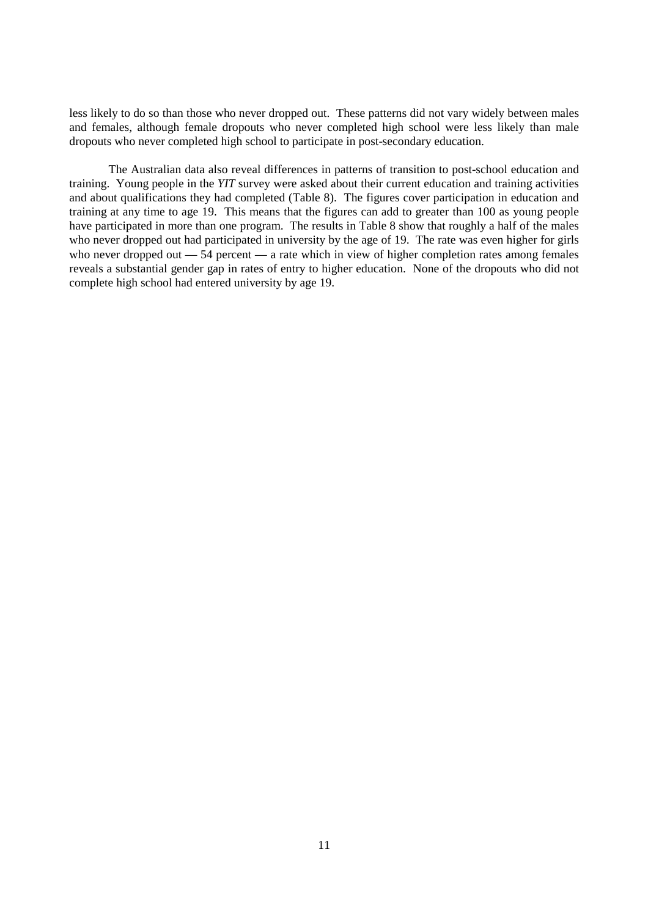less likely to do so than those who never dropped out. These patterns did not vary widely between males and females, although female dropouts who never completed high school were less likely than male dropouts who never completed high school to participate in post-secondary education.

The Australian data also reveal differences in patterns of transition to post-school education and training. Young people in the *YIT* survey were asked about their current education and training activities and about qualifications they had completed (Table 8). The figures cover participation in education and training at any time to age 19. This means that the figures can add to greater than 100 as young people have participated in more than one program. The results in Table 8 show that roughly a half of the males who never dropped out had participated in university by the age of 19. The rate was even higher for girls who never dropped out  $-54$  percent  $-$  a rate which in view of higher completion rates among females reveals a substantial gender gap in rates of entry to higher education. None of the dropouts who did not complete high school had entered university by age 19.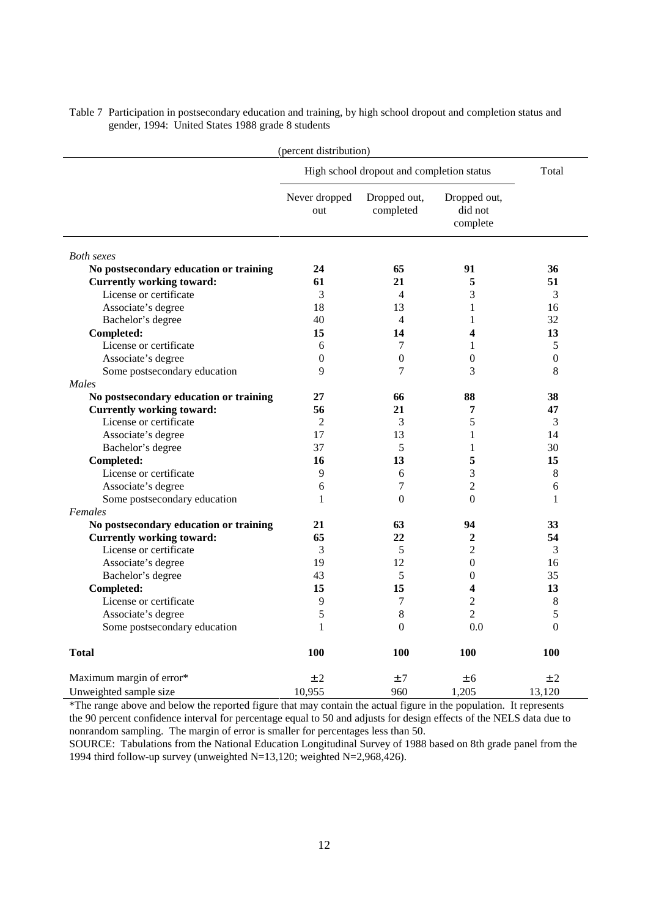| (percent distribution)                 |                      |                                           |                                     |                  |  |  |
|----------------------------------------|----------------------|-------------------------------------------|-------------------------------------|------------------|--|--|
|                                        |                      | High school dropout and completion status |                                     | Total            |  |  |
|                                        | Never dropped<br>out | Dropped out,<br>completed                 | Dropped out,<br>did not<br>complete |                  |  |  |
| <b>Both sexes</b>                      |                      |                                           |                                     |                  |  |  |
| No postsecondary education or training | 24                   | 65                                        | 91                                  | 36               |  |  |
| <b>Currently working toward:</b>       | 61                   | 21                                        | 5                                   | 51               |  |  |
| License or certificate                 | 3                    | 4                                         | 3                                   | 3                |  |  |
| Associate's degree                     | 18                   | 13                                        | 1                                   | 16               |  |  |
| Bachelor's degree                      | 40                   | $\overline{\mathcal{L}}$                  | $\mathbf{1}$                        | 32               |  |  |
| Completed:                             | 15                   | 14                                        | 4                                   | 13               |  |  |
| License or certificate                 | 6                    | 7                                         | 1                                   | 5                |  |  |
| Associate's degree                     | $\boldsymbol{0}$     | $\boldsymbol{0}$                          | $\boldsymbol{0}$                    | $\boldsymbol{0}$ |  |  |
| Some postsecondary education           | 9                    | 7                                         | 3                                   | 8                |  |  |
| Males                                  |                      |                                           |                                     |                  |  |  |
| No postsecondary education or training | 27                   | 66                                        | 88                                  | 38               |  |  |
| <b>Currently working toward:</b>       | 56                   | 21                                        | 7                                   | 47               |  |  |
| License or certificate                 | $\overline{2}$       | 3                                         | 5                                   | 3                |  |  |
| Associate's degree                     | 17                   | 13                                        | 1                                   | 14               |  |  |
| Bachelor's degree                      | 37                   | 5                                         | 1                                   | 30               |  |  |
| Completed:                             | 16                   | 13                                        | 5                                   | 15               |  |  |
| License or certificate                 | 9                    | 6                                         | 3                                   | 8                |  |  |
| Associate's degree                     | 6                    | 7                                         | $\overline{2}$                      | 6                |  |  |
| Some postsecondary education           | 1                    | $\overline{0}$                            | $\boldsymbol{0}$                    | 1                |  |  |
| Females                                |                      |                                           |                                     |                  |  |  |
| No postsecondary education or training | 21                   | 63                                        | 94                                  | 33               |  |  |
| <b>Currently working toward:</b>       | 65                   | 22                                        | $\mathbf{2}$                        | 54               |  |  |
| License or certificate                 | 3                    | 5                                         | $\overline{2}$                      | 3                |  |  |
| Associate's degree                     | 19                   | 12                                        | $\theta$                            | 16               |  |  |
| Bachelor's degree                      | 43                   | 5                                         | $\overline{0}$                      | 35               |  |  |
| Completed:                             | 15                   | 15                                        | 4                                   | 13               |  |  |
| License or certificate                 | 9                    | 7                                         | $\overline{2}$                      | 8                |  |  |
| Associate's degree                     | 5                    | 8                                         | $\overline{2}$                      | 5                |  |  |
| Some postsecondary education           | $\mathbf{1}$         | $\theta$                                  | 0.0                                 | $\theta$         |  |  |
| <b>Total</b>                           | 100                  | 100                                       | 100                                 | 100              |  |  |
| Maximum margin of error*               | ±2                   | ±7                                        | ± 6                                 | ±2               |  |  |
| Unweighted sample size                 | 10,955               | 960                                       | 1.205                               | 13.120           |  |  |

Table 7 Participation in postsecondary education and training, by high school dropout and completion status and gender, 1994: United States 1988 grade 8 students

\*The range above and below the reported figure that may contain the actual figure in the population. It represents the 90 percent confidence interval for percentage equal to 50 and adjusts for design effects of the NELS data due to nonrandom sampling. The margin of error is smaller for percentages less than 50.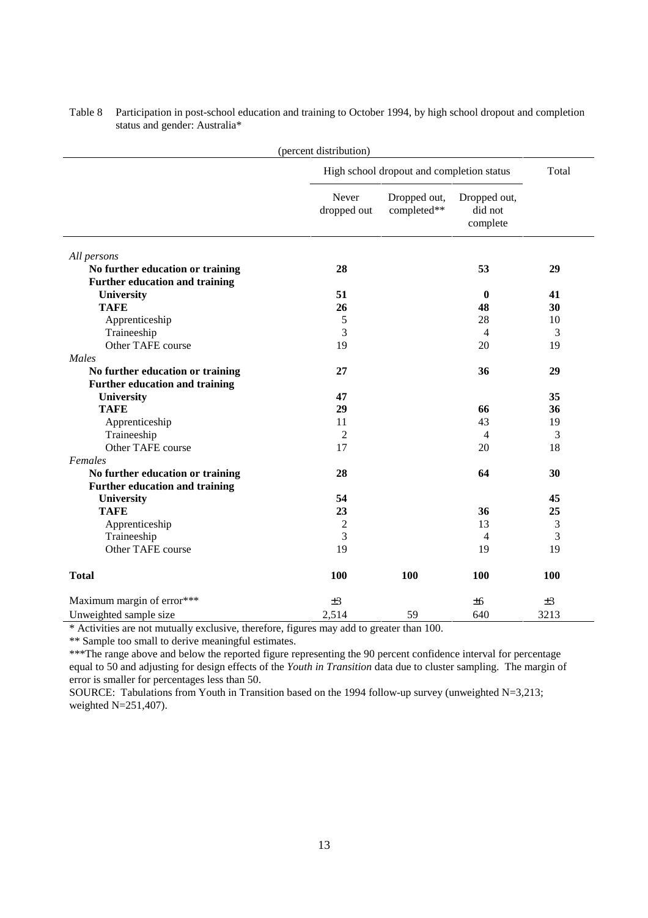|                                       | (percent distribution) |                                           |                                     |       |
|---------------------------------------|------------------------|-------------------------------------------|-------------------------------------|-------|
|                                       |                        | High school dropout and completion status |                                     | Total |
|                                       | Never<br>dropped out   | Dropped out,<br>completed**               | Dropped out,<br>did not<br>complete |       |
| All persons                           |                        |                                           |                                     |       |
| No further education or training      | 28                     |                                           | 53                                  | 29    |
| <b>Further education and training</b> |                        |                                           |                                     |       |
| University                            | 51                     |                                           | $\bf{0}$                            | 41    |
| <b>TAFE</b>                           | 26                     |                                           | 48                                  | 30    |
| Apprenticeship                        | 5                      |                                           | 28                                  | 10    |
| Traineeship                           | 3                      |                                           | $\overline{4}$                      | 3     |
| Other TAFE course                     | 19                     |                                           | 20                                  | 19    |
| Males                                 |                        |                                           |                                     |       |
| No further education or training      | 27                     |                                           | 36                                  | 29    |
| Further education and training        |                        |                                           |                                     |       |
| University                            | 47                     |                                           |                                     | 35    |
| <b>TAFE</b>                           | 29                     |                                           | 66                                  | 36    |
| Apprenticeship                        | 11                     |                                           | 43                                  | 19    |
| Traineeship                           | 2                      |                                           | $\overline{4}$                      | 3     |
| Other TAFE course                     | 17                     |                                           | 20                                  | 18    |
| Females                               |                        |                                           |                                     |       |
| No further education or training      | 28                     |                                           | 64                                  | 30    |
| <b>Further education and training</b> |                        |                                           |                                     |       |
| University                            | 54                     |                                           |                                     | 45    |
| <b>TAFE</b>                           | 23                     |                                           | 36                                  | 25    |
| Apprenticeship                        | $\overline{c}$         |                                           | 13                                  | 3     |
| Traineeship                           | 3                      |                                           | 4                                   | 3     |
| Other TAFE course                     | 19                     |                                           | 19                                  | 19    |
| <b>Total</b>                          | 100                    | 100                                       | 100                                 | 100   |
| Maximum margin of error***            | ±3                     |                                           | ±6                                  | ±3    |
| Unweighted sample size                | 2,514                  | 59                                        | 640                                 | 3213  |

Table 8 Participation in post-school education and training to October 1994, by high school dropout and completion status and gender: Australia\*

\* Activities are not mutually exclusive, therefore, figures may add to greater than 100.

\*\* Sample too small to derive meaningful estimates.

\*\*\*The range above and below the reported figure representing the 90 percent confidence interval for percentage equal to 50 and adjusting for design effects of the *Youth in Transition* data due to cluster sampling. The margin of error is smaller for percentages less than 50.

SOURCE: Tabulations from Youth in Transition based on the 1994 follow-up survey (unweighted N=3,213; weighted N=251,407).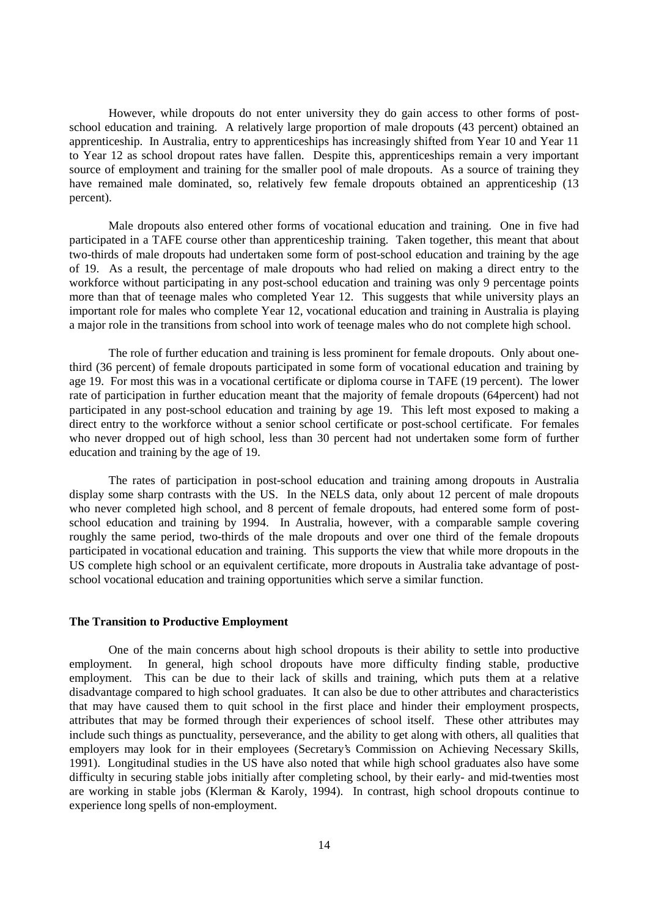However, while dropouts do not enter university they do gain access to other forms of postschool education and training. A relatively large proportion of male dropouts (43 percent) obtained an apprenticeship. In Australia, entry to apprenticeships has increasingly shifted from Year 10 and Year 11 to Year 12 as school dropout rates have fallen. Despite this, apprenticeships remain a very important source of employment and training for the smaller pool of male dropouts. As a source of training they have remained male dominated, so, relatively few female dropouts obtained an apprenticeship (13) percent).

Male dropouts also entered other forms of vocational education and training. One in five had participated in a TAFE course other than apprenticeship training. Taken together, this meant that about two-thirds of male dropouts had undertaken some form of post-school education and training by the age of 19. As a result, the percentage of male dropouts who had relied on making a direct entry to the workforce without participating in any post-school education and training was only 9 percentage points more than that of teenage males who completed Year 12. This suggests that while university plays an important role for males who complete Year 12, vocational education and training in Australia is playing a major role in the transitions from school into work of teenage males who do not complete high school.

The role of further education and training is less prominent for female dropouts. Only about onethird (36 percent) of female dropouts participated in some form of vocational education and training by age 19. For most this was in a vocational certificate or diploma course in TAFE (19 percent). The lower rate of participation in further education meant that the majority of female dropouts (64percent) had not participated in any post-school education and training by age 19. This left most exposed to making a direct entry to the workforce without a senior school certificate or post-school certificate. For females who never dropped out of high school, less than 30 percent had not undertaken some form of further education and training by the age of 19.

The rates of participation in post-school education and training among dropouts in Australia display some sharp contrasts with the US. In the NELS data, only about 12 percent of male dropouts who never completed high school, and 8 percent of female dropouts, had entered some form of postschool education and training by 1994. In Australia, however, with a comparable sample covering roughly the same period, two-thirds of the male dropouts and over one third of the female dropouts participated in vocational education and training. This supports the view that while more dropouts in the US complete high school or an equivalent certificate, more dropouts in Australia take advantage of postschool vocational education and training opportunities which serve a similar function.

#### **The Transition to Productive Employment**

One of the main concerns about high school dropouts is their ability to settle into productive employment. In general, high school dropouts have more difficulty finding stable, productive employment. This can be due to their lack of skills and training, which puts them at a relative disadvantage compared to high school graduates. It can also be due to other attributes and characteristics that may have caused them to quit school in the first place and hinder their employment prospects, attributes that may be formed through their experiences of school itself. These other attributes may include such things as punctuality, perseverance, and the ability to get along with others, all qualities that employers may look for in their employees (Secretary's Commission on Achieving Necessary Skills, 1991). Longitudinal studies in the US have also noted that while high school graduates also have some difficulty in securing stable jobs initially after completing school, by their early- and mid-twenties most are working in stable jobs (Klerman & Karoly, 1994). In contrast, high school dropouts continue to experience long spells of non-employment.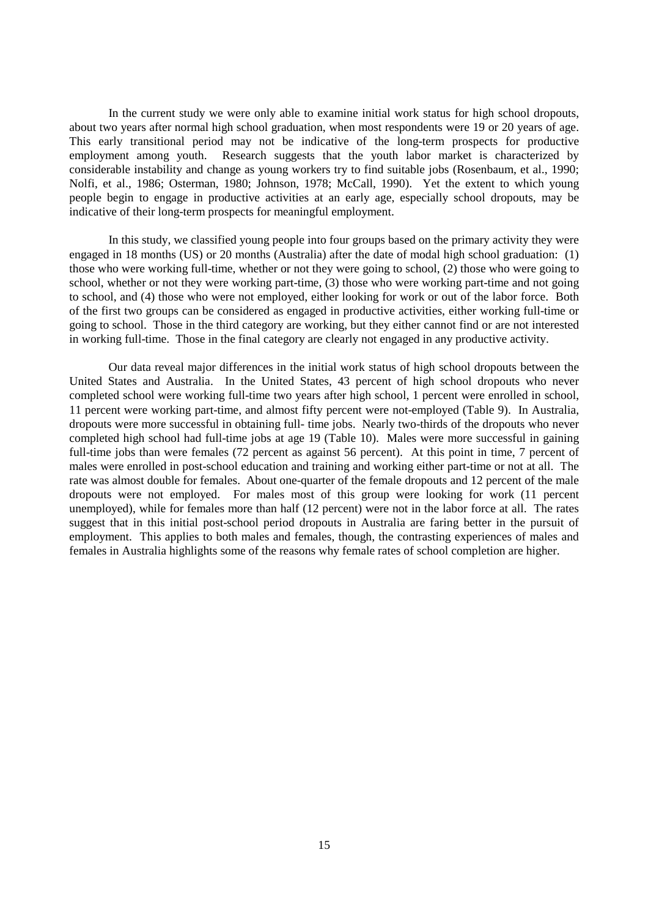In the current study we were only able to examine initial work status for high school dropouts, about two years after normal high school graduation, when most respondents were 19 or 20 years of age. This early transitional period may not be indicative of the long-term prospects for productive employment among youth. Research suggests that the youth labor market is characterized by considerable instability and change as young workers try to find suitable jobs (Rosenbaum, et al., 1990; Nolfi, et al., 1986; Osterman, 1980; Johnson, 1978; McCall, 1990). Yet the extent to which young people begin to engage in productive activities at an early age, especially school dropouts, may be indicative of their long-term prospects for meaningful employment.

In this study, we classified young people into four groups based on the primary activity they were engaged in 18 months (US) or 20 months (Australia) after the date of modal high school graduation: (1) those who were working full-time, whether or not they were going to school, (2) those who were going to school, whether or not they were working part-time, (3) those who were working part-time and not going to school, and (4) those who were not employed, either looking for work or out of the labor force. Both of the first two groups can be considered as engaged in productive activities, either working full-time or going to school. Those in the third category are working, but they either cannot find or are not interested in working full-time. Those in the final category are clearly not engaged in any productive activity.

Our data reveal major differences in the initial work status of high school dropouts between the United States and Australia. In the United States, 43 percent of high school dropouts who never completed school were working full-time two years after high school, 1 percent were enrolled in school, 11 percent were working part-time, and almost fifty percent were not-employed (Table 9). In Australia, dropouts were more successful in obtaining full- time jobs. Nearly two-thirds of the dropouts who never completed high school had full-time jobs at age 19 (Table 10). Males were more successful in gaining full-time jobs than were females (72 percent as against 56 percent). At this point in time, 7 percent of males were enrolled in post-school education and training and working either part-time or not at all. The rate was almost double for females. About one-quarter of the female dropouts and 12 percent of the male dropouts were not employed. For males most of this group were looking for work (11 percent unemployed), while for females more than half (12 percent) were not in the labor force at all. The rates suggest that in this initial post-school period dropouts in Australia are faring better in the pursuit of employment. This applies to both males and females, though, the contrasting experiences of males and females in Australia highlights some of the reasons why female rates of school completion are higher.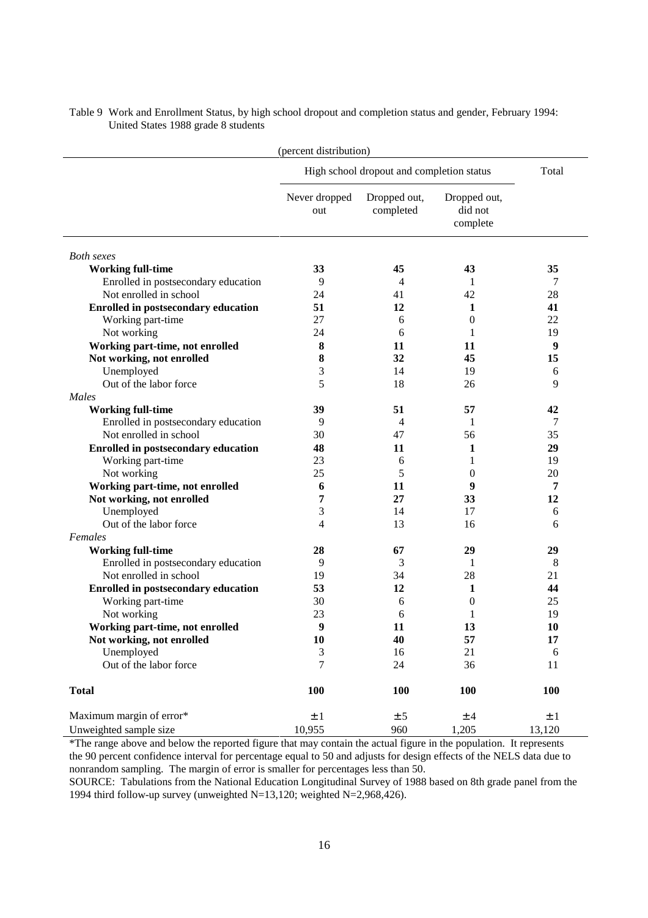| (percent distribution)                     |                      |                                           |                                     |         |  |  |
|--------------------------------------------|----------------------|-------------------------------------------|-------------------------------------|---------|--|--|
|                                            |                      | High school dropout and completion status |                                     | Total   |  |  |
|                                            | Never dropped<br>out | Dropped out,<br>completed                 | Dropped out,<br>did not<br>complete |         |  |  |
| <b>Both</b> sexes                          |                      |                                           |                                     |         |  |  |
| <b>Working full-time</b>                   | 33                   | 45                                        | 43                                  | 35      |  |  |
| Enrolled in postsecondary education        | 9                    | 4                                         | 1                                   | 7       |  |  |
| Not enrolled in school                     | 24                   | 41                                        | 42                                  | 28      |  |  |
| <b>Enrolled in postsecondary education</b> | 51                   | 12                                        | 1                                   | 41      |  |  |
| Working part-time                          | 27                   | 6                                         | $\mathbf{0}$                        | 22      |  |  |
| Not working                                | 24                   | 6                                         | 1                                   | 19      |  |  |
| Working part-time, not enrolled            | 8                    | 11                                        | 11                                  | 9       |  |  |
| Not working, not enrolled                  | 8                    | 32                                        | 45                                  | 15      |  |  |
| Unemployed                                 | 3                    | 14                                        | 19                                  | 6       |  |  |
| Out of the labor force                     | 5                    | 18                                        | 26                                  | 9       |  |  |
| Males                                      |                      |                                           |                                     |         |  |  |
| <b>Working full-time</b>                   | 39                   | 51                                        | 57                                  | 42      |  |  |
| Enrolled in postsecondary education        | 9                    | 4                                         | 1                                   | 7       |  |  |
| Not enrolled in school                     | 30                   | 47                                        | 56                                  | 35      |  |  |
| <b>Enrolled in postsecondary education</b> | 48                   | 11                                        | 1                                   | 29      |  |  |
| Working part-time                          | 23                   | 6                                         | 1                                   | 19      |  |  |
| Not working                                | 25                   | 5                                         | 0                                   | 20      |  |  |
| Working part-time, not enrolled            | 6                    | 11                                        | 9                                   | 7       |  |  |
| Not working, not enrolled                  | 7                    | 27                                        | 33                                  | 12      |  |  |
| Unemployed                                 | 3                    | 14                                        | 17                                  | 6       |  |  |
| Out of the labor force                     | 4                    | 13                                        | 16                                  | 6       |  |  |
| Females                                    |                      |                                           |                                     |         |  |  |
| <b>Working full-time</b>                   | 28                   | 67                                        | 29                                  | 29      |  |  |
| Enrolled in postsecondary education        | 9                    | 3                                         | 1                                   | 8       |  |  |
| Not enrolled in school                     | 19                   | 34                                        | 28                                  | 21      |  |  |
| <b>Enrolled in postsecondary education</b> | 53                   | 12                                        | 1                                   | 44      |  |  |
| Working part-time                          | 30                   | 6                                         | $\boldsymbol{0}$                    | 25      |  |  |
| Not working                                | 23                   | 6                                         | 1                                   | 19      |  |  |
| Working part-time, not enrolled            | 9                    | 11                                        | 13                                  | 10      |  |  |
| Not working, not enrolled                  | 10                   | 40                                        | 57                                  | 17      |  |  |
| Unemployed                                 | 3                    | 16                                        | 21                                  | 6       |  |  |
| Out of the labor force                     | 7                    | 24                                        | 36                                  | 11      |  |  |
| <b>Total</b>                               | 100                  | 100                                       | 100                                 | 100     |  |  |
| Maximum margin of error*                   | $\pm$ 1              | ± 5                                       | ±4                                  | $\pm$ 1 |  |  |
| Unweighted sample size                     | 10,955               | 960                                       | 1,205                               | 13,120  |  |  |

Table 9 Work and Enrollment Status, by high school dropout and completion status and gender, February 1994: United States 1988 grade 8 students

\*The range above and below the reported figure that may contain the actual figure in the population. It represents the 90 percent confidence interval for percentage equal to 50 and adjusts for design effects of the NELS data due to nonrandom sampling. The margin of error is smaller for percentages less than 50.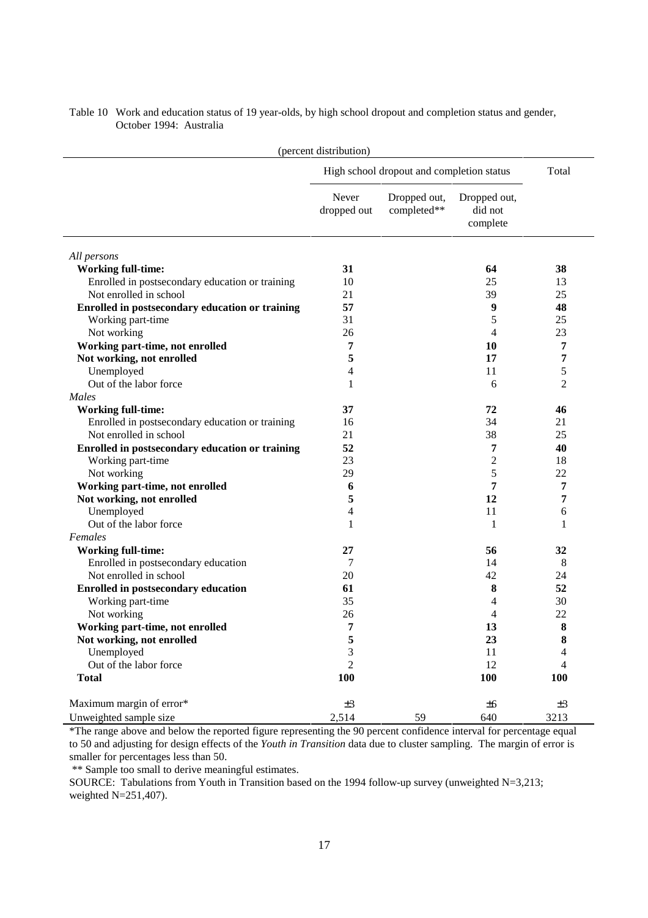| (percent distribution)                          |                      |                                           |                                     |                |  |
|-------------------------------------------------|----------------------|-------------------------------------------|-------------------------------------|----------------|--|
|                                                 |                      | High school dropout and completion status |                                     | Total          |  |
|                                                 | Never<br>dropped out | Dropped out,<br>completed**               | Dropped out,<br>did not<br>complete |                |  |
| All persons                                     |                      |                                           |                                     |                |  |
| <b>Working full-time:</b>                       | 31                   |                                           | 64                                  | 38             |  |
| Enrolled in postsecondary education or training | 10                   |                                           | 25                                  | 13             |  |
| Not enrolled in school                          | 21                   |                                           | 39                                  | 25             |  |
| Enrolled in postsecondary education or training | 57                   |                                           | 9                                   | 48             |  |
| Working part-time                               | 31                   |                                           | 5                                   | 25             |  |
| Not working                                     | 26                   |                                           | 4                                   | 23             |  |
| Working part-time, not enrolled                 | 7                    |                                           | 10                                  | 7              |  |
| Not working, not enrolled                       | 5                    |                                           | 17                                  | 7              |  |
| Unemployed                                      | 4                    |                                           | 11                                  | 5              |  |
| Out of the labor force                          | 1                    |                                           | 6                                   | $\overline{2}$ |  |
| Males                                           |                      |                                           |                                     |                |  |
| <b>Working full-time:</b>                       | 37                   |                                           | 72                                  | 46             |  |
| Enrolled in postsecondary education or training | 16                   |                                           | 34                                  | 21             |  |
| Not enrolled in school                          | 21                   |                                           | 38                                  | 25             |  |
| Enrolled in postsecondary education or training | 52                   |                                           | 7                                   | 40             |  |
| Working part-time                               | 23                   |                                           | $\overline{c}$                      | 18             |  |
| Not working                                     | 29                   |                                           | 5                                   | 22             |  |
| Working part-time, not enrolled                 | 6                    |                                           | 7                                   | 7              |  |
| Not working, not enrolled                       | 5                    |                                           | 12                                  | 7              |  |
| Unemployed                                      | 4                    |                                           | 11                                  | 6              |  |
| Out of the labor force                          | 1                    |                                           | 1                                   | 1              |  |
| Females                                         |                      |                                           |                                     |                |  |
| <b>Working full-time:</b>                       | 27                   |                                           | 56                                  | 32             |  |
| Enrolled in postsecondary education             | 7                    |                                           | 14                                  | 8              |  |
| Not enrolled in school                          | 20                   |                                           | 42                                  | 24             |  |
| <b>Enrolled in postsecondary education</b>      | 61                   |                                           | 8                                   | 52             |  |
| Working part-time                               | 35                   |                                           | 4                                   | 30             |  |
| Not working                                     | 26                   |                                           | 4                                   | 22             |  |
| Working part-time, not enrolled                 | 7                    |                                           | 13                                  | 8              |  |
| Not working, not enrolled                       | 5                    |                                           | 23                                  | 8              |  |
| Unemployed                                      | 3                    |                                           | 11                                  | 4              |  |
| Out of the labor force                          | $\overline{2}$       |                                           | 12                                  | 4              |  |
| <b>Total</b>                                    | <b>100</b>           |                                           | 100                                 | <b>100</b>     |  |
| Maximum margin of error*                        | $\pm 3$              |                                           | ±6                                  | ±3             |  |
| Unweighted sample size                          | 2,514                | 59                                        | 640                                 | 3213           |  |

Table 10 Work and education status of 19 year-olds, by high school dropout and completion status and gender, October 1994: Australia

\*The range above and below the reported figure representing the 90 percent confidence interval for percentage equal to 50 and adjusting for design effects of the *Youth in Transition* data due to cluster sampling. The margin of error is smaller for percentages less than 50.

\*\* Sample too small to derive meaningful estimates.

SOURCE: Tabulations from Youth in Transition based on the 1994 follow-up survey (unweighted N=3,213; weighted N=251,407).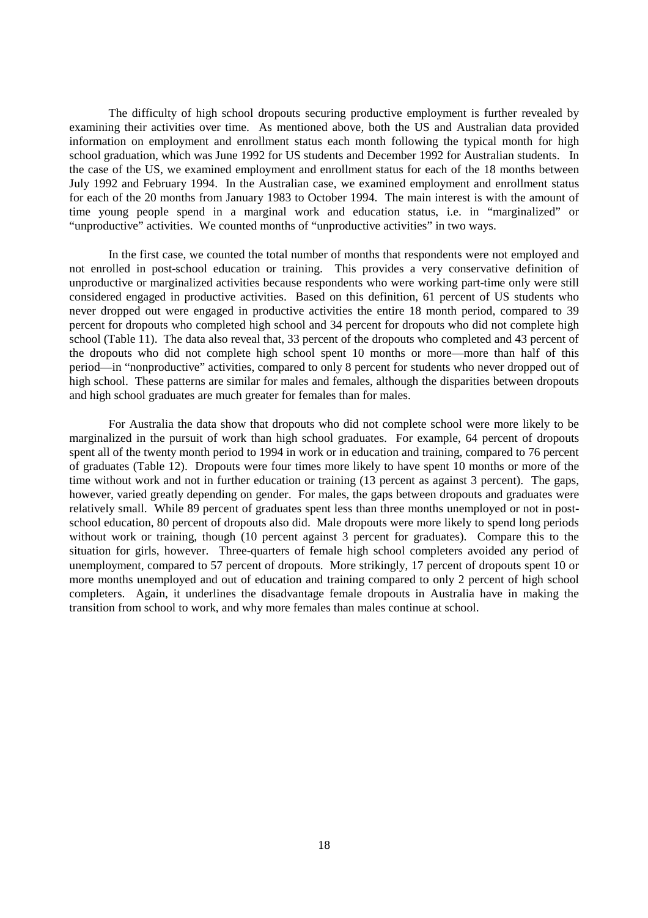The difficulty of high school dropouts securing productive employment is further revealed by examining their activities over time. As mentioned above, both the US and Australian data provided information on employment and enrollment status each month following the typical month for high school graduation, which was June 1992 for US students and December 1992 for Australian students. In the case of the US, we examined employment and enrollment status for each of the 18 months between July 1992 and February 1994. In the Australian case, we examined employment and enrollment status for each of the 20 months from January 1983 to October 1994. The main interest is with the amount of time young people spend in a marginal work and education status, i.e. in "marginalized" or "unproductive" activities. We counted months of "unproductive activities" in two ways.

In the first case, we counted the total number of months that respondents were not employed and not enrolled in post-school education or training. This provides a very conservative definition of unproductive or marginalized activities because respondents who were working part-time only were still considered engaged in productive activities. Based on this definition, 61 percent of US students who never dropped out were engaged in productive activities the entire 18 month period, compared to 39 percent for dropouts who completed high school and 34 percent for dropouts who did not complete high school (Table 11). The data also reveal that, 33 percent of the dropouts who completed and 43 percent of the dropouts who did not complete high school spent 10 months or more—more than half of this period—in "nonproductive" activities, compared to only 8 percent for students who never dropped out of high school. These patterns are similar for males and females, although the disparities between dropouts and high school graduates are much greater for females than for males.

For Australia the data show that dropouts who did not complete school were more likely to be marginalized in the pursuit of work than high school graduates. For example, 64 percent of dropouts spent all of the twenty month period to 1994 in work or in education and training, compared to 76 percent of graduates (Table 12). Dropouts were four times more likely to have spent 10 months or more of the time without work and not in further education or training (13 percent as against 3 percent). The gaps, however, varied greatly depending on gender. For males, the gaps between dropouts and graduates were relatively small. While 89 percent of graduates spent less than three months unemployed or not in postschool education, 80 percent of dropouts also did. Male dropouts were more likely to spend long periods without work or training, though (10 percent against 3 percent for graduates). Compare this to the situation for girls, however. Three-quarters of female high school completers avoided any period of unemployment, compared to 57 percent of dropouts. More strikingly, 17 percent of dropouts spent 10 or more months unemployed and out of education and training compared to only 2 percent of high school completers. Again, it underlines the disadvantage female dropouts in Australia have in making the transition from school to work, and why more females than males continue at school.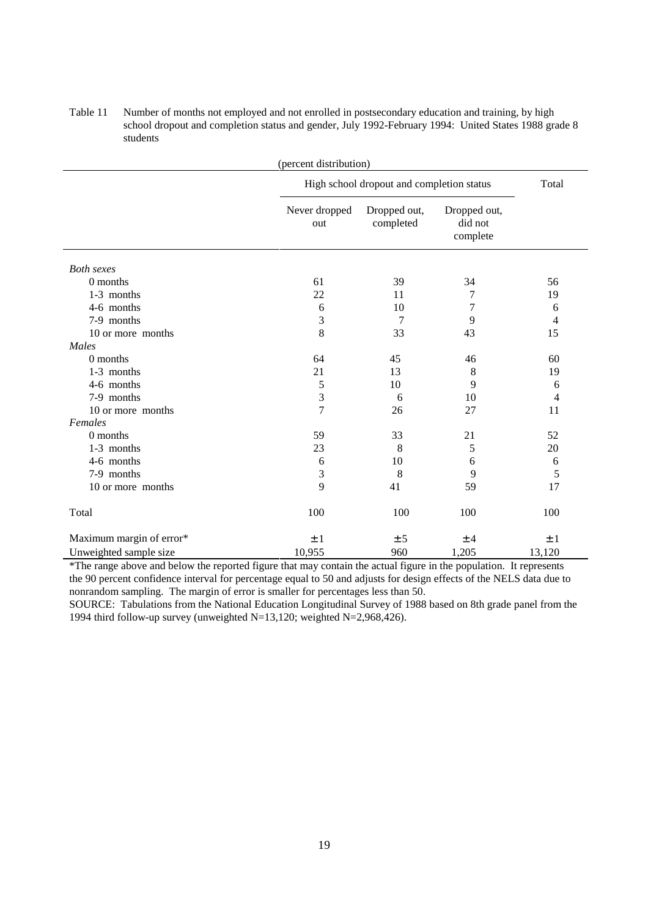| (percent distribution)   |                      |                                           |                                     |        |  |  |
|--------------------------|----------------------|-------------------------------------------|-------------------------------------|--------|--|--|
|                          |                      | High school dropout and completion status |                                     |        |  |  |
|                          | Never dropped<br>out | Dropped out,<br>completed                 | Dropped out,<br>did not<br>complete |        |  |  |
| <b>Both sexes</b>        |                      |                                           |                                     |        |  |  |
| 0 months                 | 61                   | 39                                        | 34                                  | 56     |  |  |
| 1-3 months               | 22                   | 11                                        | $\overline{7}$                      | 19     |  |  |
| 4-6 months               | 6                    | 10                                        | 7                                   | 6      |  |  |
| 7-9 months               | 3                    | 7                                         | 9                                   | 4      |  |  |
| 10 or more months        | 8                    | 33                                        | 43                                  | 15     |  |  |
| Males                    |                      |                                           |                                     |        |  |  |
| 0 months                 | 64                   | 45                                        | 46                                  | 60     |  |  |
| 1-3 months               | 21                   | 13                                        | 8                                   | 19     |  |  |
| 4-6 months               | 5                    | 10                                        | 9                                   | 6      |  |  |
| 7-9 months               | 3                    | 6                                         | 10                                  | 4      |  |  |
| 10 or more months        | $\overline{7}$       | 26                                        | 27                                  | 11     |  |  |
| Females                  |                      |                                           |                                     |        |  |  |
| 0 months                 | 59                   | 33                                        | 21                                  | 52     |  |  |
| 1-3 months               | 23                   | 8                                         | 5                                   | 20     |  |  |
| 4-6 months               | 6                    | 10                                        | 6                                   | 6      |  |  |
| 7-9 months               | 3                    | 8                                         | 9                                   | 5      |  |  |
| 10 or more months        | 9                    | 41                                        | 59                                  | 17     |  |  |
| Total                    | 100                  | 100                                       | 100                                 | 100    |  |  |
| Maximum margin of error* | ±1                   | ± 5                                       | ±4                                  | ±1     |  |  |
| Unweighted sample size   | 10,955               | 960                                       | 1,205                               | 13,120 |  |  |

Table 11 Number of months not employed and not enrolled in postsecondary education and training, by high school dropout and completion status and gender, July 1992-February 1994: United States 1988 grade 8 students

\*The range above and below the reported figure that may contain the actual figure in the population. It represents the 90 percent confidence interval for percentage equal to 50 and adjusts for design effects of the NELS data due to nonrandom sampling. The margin of error is smaller for percentages less than 50.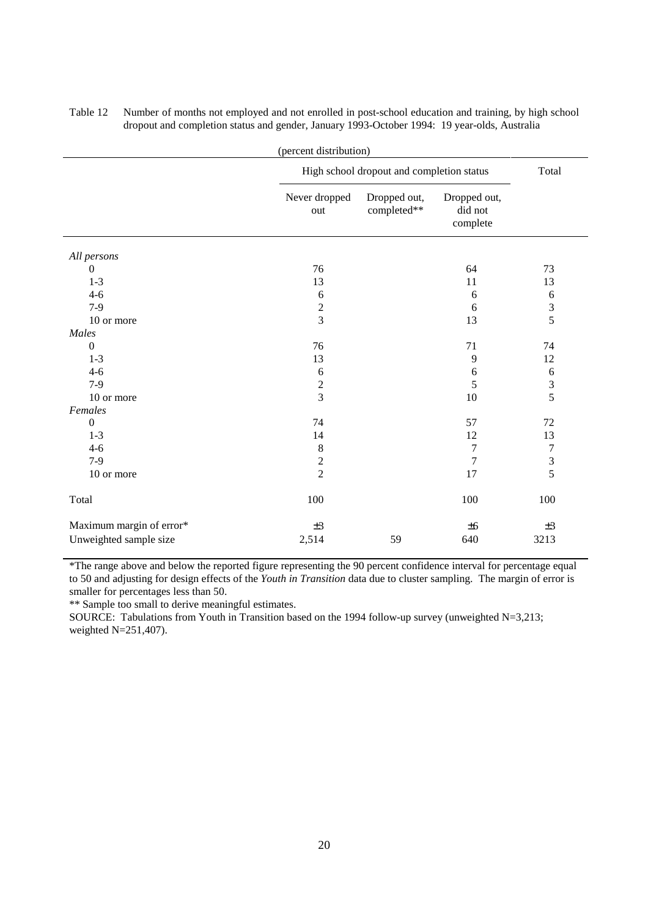| (percent distribution)   |                         |                                           |                                     |                  |  |  |
|--------------------------|-------------------------|-------------------------------------------|-------------------------------------|------------------|--|--|
|                          |                         | High school dropout and completion status |                                     |                  |  |  |
|                          | Never dropped<br>out    | Dropped out,<br>completed**               | Dropped out,<br>did not<br>complete |                  |  |  |
| All persons              |                         |                                           |                                     |                  |  |  |
| $\Omega$                 | 76                      |                                           | 64                                  | 73               |  |  |
| $1 - 3$                  | 13                      |                                           | 11                                  | 13               |  |  |
| $4 - 6$                  | 6                       |                                           | 6                                   | 6                |  |  |
| $7-9$                    | $\overline{c}$          |                                           | 6                                   | $\overline{3}$   |  |  |
| 10 or more               | $\overline{3}$          |                                           | 13                                  | 5                |  |  |
| Males                    |                         |                                           |                                     |                  |  |  |
| $\Omega$                 | 76                      |                                           | 71                                  | 74               |  |  |
| $1 - 3$                  | 13                      |                                           | $\overline{9}$                      | 12               |  |  |
| $4 - 6$                  | 6                       |                                           | $\sqrt{6}$                          | $\sqrt{6}$       |  |  |
| $7-9$                    | $\overline{\mathbf{c}}$ |                                           | 5                                   | $\frac{3}{5}$    |  |  |
| 10 or more               | $\overline{3}$          |                                           | 10                                  |                  |  |  |
| Females                  |                         |                                           |                                     |                  |  |  |
| $\overline{0}$           | 74                      |                                           | 57                                  | 72               |  |  |
| $1 - 3$                  | 14                      |                                           | 12                                  | 13               |  |  |
| $4 - 6$                  | $\,8\,$                 |                                           | $\overline{7}$                      | $\boldsymbol{7}$ |  |  |
| $7-9$                    | $\sqrt{2}$              |                                           | 7                                   | $\mathfrak{Z}$   |  |  |
| 10 or more               | $\overline{2}$          |                                           | 17                                  | 5                |  |  |
| Total                    | 100                     |                                           | 100                                 | 100              |  |  |
| Maximum margin of error* | $\pm 3$                 |                                           | ±6                                  | ±3               |  |  |
| Unweighted sample size   | 2,514                   | 59                                        | 640                                 | 3213             |  |  |

Table 12 Number of months not employed and not enrolled in post-school education and training, by high school dropout and completion status and gender, January 1993-October 1994: 19 year-olds, Australia

\*The range above and below the reported figure representing the 90 percent confidence interval for percentage equal to 50 and adjusting for design effects of the *Youth in Transition* data due to cluster sampling. The margin of error is smaller for percentages less than 50.

\*\* Sample too small to derive meaningful estimates.

SOURCE: Tabulations from Youth in Transition based on the 1994 follow-up survey (unweighted N=3,213; weighted N=251,407).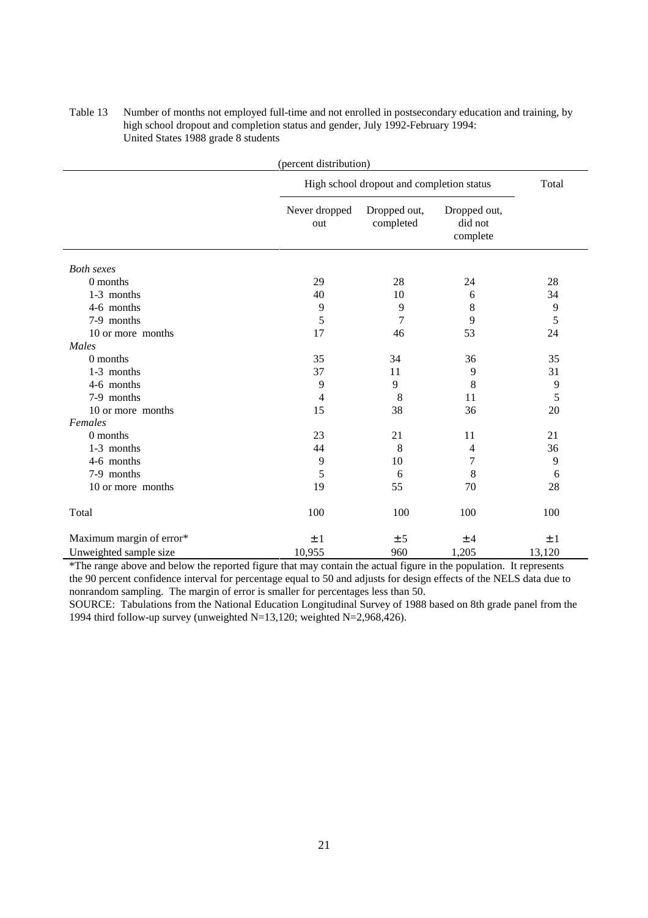## Table 13 Number of months not employed full-time and not enrolled in postsecondary education and training, by high school dropout and completion status and gender, July 1992-February 1994: United States 1988 grade 8 students

| (percent distribution)   |                      |                                           |                                     |        |
|--------------------------|----------------------|-------------------------------------------|-------------------------------------|--------|
|                          |                      | High school dropout and completion status |                                     |        |
|                          | Never dropped<br>out | Dropped out,<br>completed                 | Dropped out,<br>did not<br>complete |        |
| <b>Both sexes</b>        |                      |                                           |                                     |        |
| 0 months                 | 29                   | 28                                        | 24                                  | 28     |
| 1-3 months               | 40                   | 10                                        | 6                                   | 34     |
| 4-6 months               | 9                    | 9                                         | 8                                   | 9      |
| 7-9 months               | 5                    | 7                                         | 9                                   | 5      |
| 10 or more months        | 17                   | 46                                        | 53                                  | 24     |
| Males                    |                      |                                           |                                     |        |
| 0 months                 | 35                   | 34                                        | 36                                  | 35     |
| 1-3 months               | 37                   | 11                                        | 9                                   | 31     |
| 4-6 months               | 9                    | 9                                         | 8                                   | 9      |
| 7-9 months               | 4                    | 8                                         | 11                                  | 5      |
| 10 or more months        | 15                   | 38                                        | 36                                  | 20     |
| Females                  |                      |                                           |                                     |        |
| $0$ months               | 23                   | 21                                        | 11                                  | 21     |
| 1-3 months               | 44                   | 8                                         | 4                                   | 36     |
| 4-6 months               | 9                    | 10                                        | 7                                   | 9      |
| 7-9 months               | 5                    | 6                                         | 8                                   | 6      |
| 10 or more months        | 19                   | 55                                        | 70                                  | 28     |
| Total                    | 100                  | 100                                       | 100                                 | 100    |
| Maximum margin of error* | ±1                   | ± 5                                       | ±4                                  | ±1     |
| Unweighted sample size   | 10,955               | 960                                       | 1,205                               | 13,120 |

\*The range above and below the reported figure that may contain the actual figure in the population. It represents the 90 percent confidence interval for percentage equal to 50 and adjusts for design effects of the NELS data due to nonrandom sampling. The margin of error is smaller for percentages less than 50.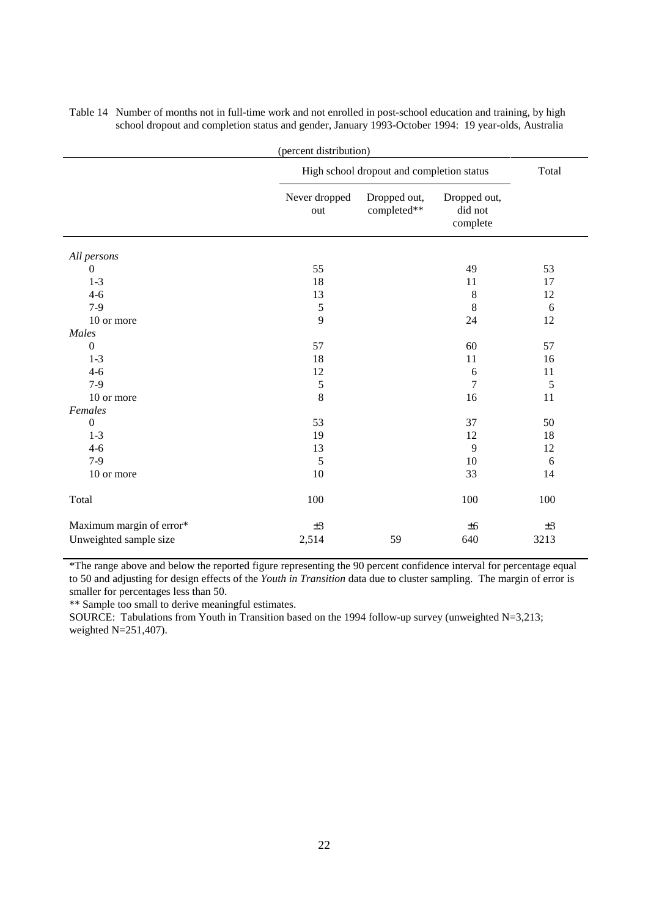| (percent distribution)<br>High school dropout and completion status |                      |                             |                                     |         |  |  |
|---------------------------------------------------------------------|----------------------|-----------------------------|-------------------------------------|---------|--|--|
|                                                                     |                      | Total                       |                                     |         |  |  |
|                                                                     | Never dropped<br>out | Dropped out,<br>completed** | Dropped out,<br>did not<br>complete |         |  |  |
| All persons                                                         |                      |                             |                                     |         |  |  |
| $\theta$                                                            | 55                   |                             | 49                                  | 53      |  |  |
| $1 - 3$                                                             | 18                   |                             | 11                                  | 17      |  |  |
| $4 - 6$                                                             | 13                   |                             | 8                                   | 12      |  |  |
| $7-9$                                                               | $\mathfrak s$        |                             | $\,$ 8 $\,$                         | 6       |  |  |
| 10 or more                                                          | 9                    | 24                          | 12                                  |         |  |  |
| Males                                                               |                      |                             |                                     |         |  |  |
| $\theta$                                                            | 57                   |                             | 60                                  | 57      |  |  |
| $1-3$                                                               | 18                   |                             | 11                                  | 16      |  |  |
| $4 - 6$                                                             | 12                   |                             | 6                                   | 11      |  |  |
| $7-9$                                                               | $\mathfrak s$        |                             | $\overline{7}$                      | 5       |  |  |
| 10 or more                                                          | 8                    |                             | 16                                  | 11      |  |  |
| Females                                                             |                      |                             |                                     |         |  |  |
| $\boldsymbol{0}$                                                    | 53                   |                             | 37<br>12                            | 50      |  |  |
| $1 - 3$                                                             |                      | 19                          |                                     | $18\,$  |  |  |
| $4 - 6$                                                             |                      | 13                          |                                     | 12      |  |  |
| $7-9$                                                               | 5                    |                             | 10                                  | 6       |  |  |
| 10 or more                                                          | 10                   |                             | 33                                  | 14      |  |  |
| Total                                                               | 100                  |                             | 100                                 | 100     |  |  |
| Maximum margin of error*                                            | ±3                   |                             | ±6                                  | $\pm 3$ |  |  |
| Unweighted sample size                                              | 2,514                | 59                          | 640                                 | 3213    |  |  |

Table 14 Number of months not in full-time work and not enrolled in post-school education and training, by high school dropout and completion status and gender, January 1993-October 1994: 19 year-olds, Australia

\*The range above and below the reported figure representing the 90 percent confidence interval for percentage equal to 50 and adjusting for design effects of the *Youth in Transition* data due to cluster sampling. The margin of error is smaller for percentages less than 50.

\*\* Sample too small to derive meaningful estimates.

SOURCE: Tabulations from Youth in Transition based on the 1994 follow-up survey (unweighted  $N=3,213$ ; weighted N=251,407).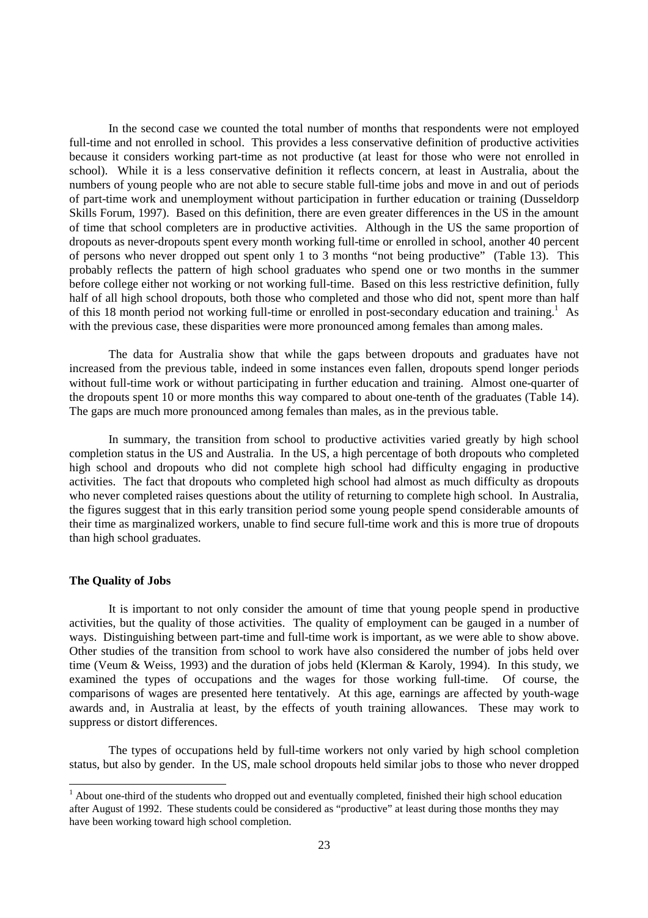In the second case we counted the total number of months that respondents were not employed full-time and not enrolled in school. This provides a less conservative definition of productive activities because it considers working part-time as not productive (at least for those who were not enrolled in school). While it is a less conservative definition it reflects concern, at least in Australia, about the numbers of young people who are not able to secure stable full-time jobs and move in and out of periods of part-time work and unemployment without participation in further education or training (Dusseldorp Skills Forum, 1997). Based on this definition, there are even greater differences in the US in the amount of time that school completers are in productive activities. Although in the US the same proportion of dropouts as never-dropouts spent every month working full-time or enrolled in school, another 40 percent of persons who never dropped out spent only 1 to 3 months "not being productive" (Table 13). This probably reflects the pattern of high school graduates who spend one or two months in the summer before college either not working or not working full-time. Based on this less restrictive definition, fully half of all high school dropouts, both those who completed and those who did not, spent more than half of this 18 month period not working full-time or enrolled in post-secondary education and training.<sup>1</sup> As with the previous case, these disparities were more pronounced among females than among males.

The data for Australia show that while the gaps between dropouts and graduates have not increased from the previous table, indeed in some instances even fallen, dropouts spend longer periods without full-time work or without participating in further education and training. Almost one-quarter of the dropouts spent 10 or more months this way compared to about one-tenth of the graduates (Table 14). The gaps are much more pronounced among females than males, as in the previous table.

In summary, the transition from school to productive activities varied greatly by high school completion status in the US and Australia. In the US, a high percentage of both dropouts who completed high school and dropouts who did not complete high school had difficulty engaging in productive activities. The fact that dropouts who completed high school had almost as much difficulty as dropouts who never completed raises questions about the utility of returning to complete high school. In Australia, the figures suggest that in this early transition period some young people spend considerable amounts of their time as marginalized workers, unable to find secure full-time work and this is more true of dropouts than high school graduates.

#### **The Quality of Jobs**

It is important to not only consider the amount of time that young people spend in productive activities, but the quality of those activities. The quality of employment can be gauged in a number of ways. Distinguishing between part-time and full-time work is important, as we were able to show above. Other studies of the transition from school to work have also considered the number of jobs held over time (Veum & Weiss, 1993) and the duration of jobs held (Klerman & Karoly, 1994). In this study, we examined the types of occupations and the wages for those working full-time. Of course, the comparisons of wages are presented here tentatively. At this age, earnings are affected by youth-wage awards and, in Australia at least, by the effects of youth training allowances. These may work to suppress or distort differences.

The types of occupations held by full-time workers not only varied by high school completion status, but also by gender. In the US, male school dropouts held similar jobs to those who never dropped

<sup>&</sup>lt;sup>1</sup> About one-third of the students who dropped out and eventually completed, finished their high school education after August of 1992. These students could be considered as "productive" at least during those months they may have been working toward high school completion.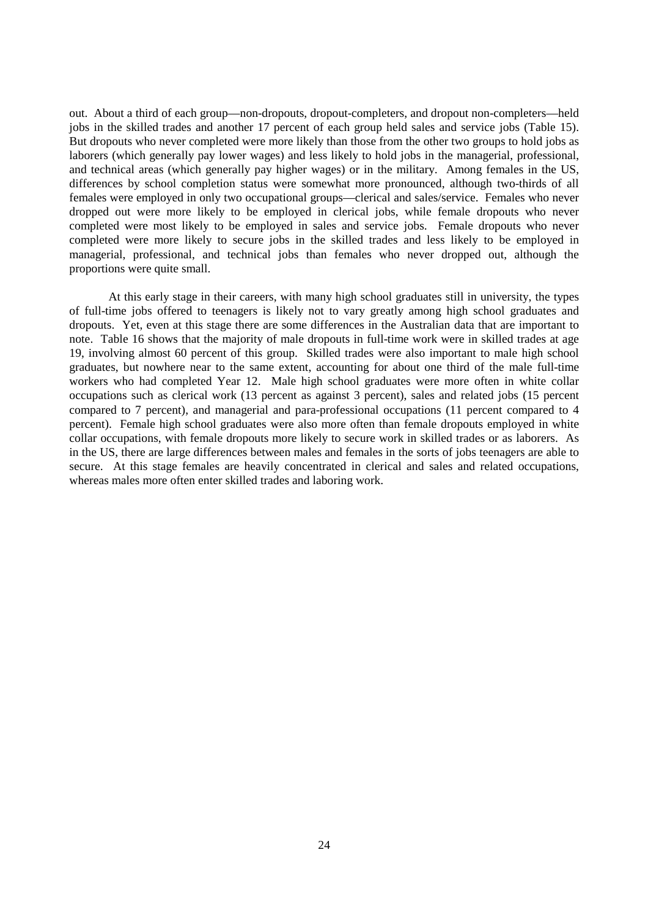out. About a third of each group—non-dropouts, dropout-completers, and dropout non-completers—held jobs in the skilled trades and another 17 percent of each group held sales and service jobs (Table 15). But dropouts who never completed were more likely than those from the other two groups to hold jobs as laborers (which generally pay lower wages) and less likely to hold jobs in the managerial, professional, and technical areas (which generally pay higher wages) or in the military. Among females in the US, differences by school completion status were somewhat more pronounced, although two-thirds of all females were employed in only two occupational groups—clerical and sales/service. Females who never dropped out were more likely to be employed in clerical jobs, while female dropouts who never completed were most likely to be employed in sales and service jobs. Female dropouts who never completed were more likely to secure jobs in the skilled trades and less likely to be employed in managerial, professional, and technical jobs than females who never dropped out, although the proportions were quite small.

At this early stage in their careers, with many high school graduates still in university, the types of full-time jobs offered to teenagers is likely not to vary greatly among high school graduates and dropouts. Yet, even at this stage there are some differences in the Australian data that are important to note. Table 16 shows that the majority of male dropouts in full-time work were in skilled trades at age 19, involving almost 60 percent of this group. Skilled trades were also important to male high school graduates, but nowhere near to the same extent, accounting for about one third of the male full-time workers who had completed Year 12. Male high school graduates were more often in white collar occupations such as clerical work (13 percent as against 3 percent), sales and related jobs (15 percent compared to 7 percent), and managerial and para-professional occupations (11 percent compared to 4 percent). Female high school graduates were also more often than female dropouts employed in white collar occupations, with female dropouts more likely to secure work in skilled trades or as laborers. As in the US, there are large differences between males and females in the sorts of jobs teenagers are able to secure. At this stage females are heavily concentrated in clerical and sales and related occupations, whereas males more often enter skilled trades and laboring work.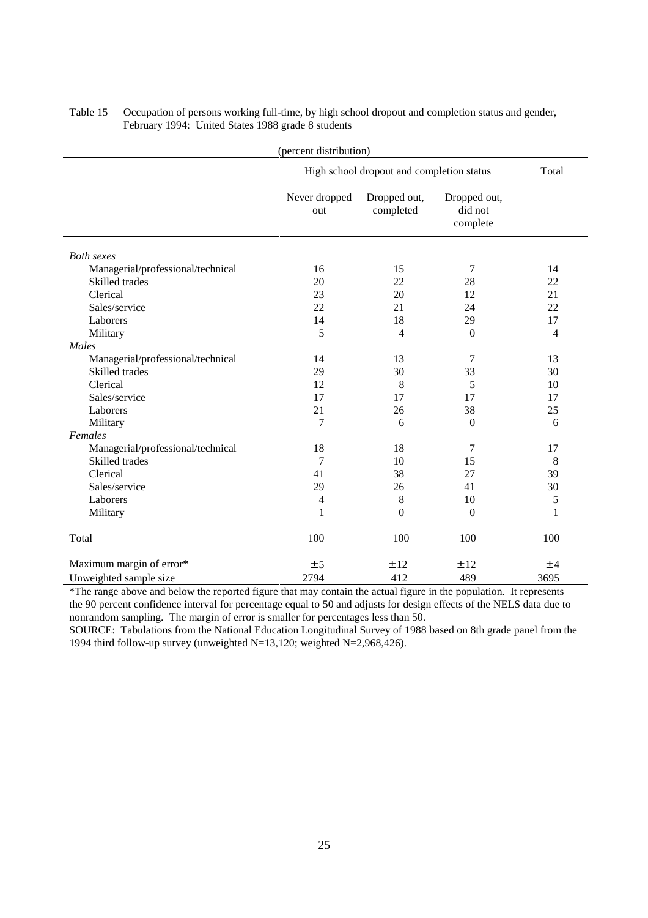| (percent distribution)            |                                           |                           |                                     |      |  |  |
|-----------------------------------|-------------------------------------------|---------------------------|-------------------------------------|------|--|--|
|                                   | High school dropout and completion status | Total                     |                                     |      |  |  |
|                                   | Never dropped<br>out                      | Dropped out,<br>completed | Dropped out,<br>did not<br>complete |      |  |  |
| <b>Both</b> sexes                 |                                           |                           |                                     |      |  |  |
| Managerial/professional/technical | 16                                        | 15                        | 7                                   | 14   |  |  |
| Skilled trades                    | 20                                        | 22                        | 28                                  | 22   |  |  |
| Clerical                          | 23                                        | 20                        | 12                                  | 21   |  |  |
| Sales/service                     | 22                                        | 21                        | 24                                  | 22   |  |  |
| Laborers                          | 14                                        | 18                        | 29                                  | 17   |  |  |
| Military                          | 5                                         | $\overline{4}$            | $\boldsymbol{0}$                    | 4    |  |  |
| Males                             |                                           |                           |                                     |      |  |  |
| Managerial/professional/technical | 14                                        | 13                        | 7                                   | 13   |  |  |
| Skilled trades                    | 29                                        | 30                        | 33                                  | 30   |  |  |
| Clerical                          | 12                                        | 8                         | 5                                   | 10   |  |  |
| Sales/service                     | 17                                        | 17                        | 17                                  | 17   |  |  |
| Laborers                          | 21                                        | 26                        | 38                                  | 25   |  |  |
| Military                          | 7                                         | 6                         | $\boldsymbol{0}$                    | 6    |  |  |
| Females                           |                                           |                           |                                     |      |  |  |
| Managerial/professional/technical | 18                                        | 18                        | 7                                   | 17   |  |  |
| Skilled trades                    | 7                                         | 10                        | 15                                  | 8    |  |  |
| Clerical                          | 41                                        | 38                        | 27                                  | 39   |  |  |
| Sales/service                     | 29                                        | 26                        | 41                                  | 30   |  |  |
| Laborers                          | 4                                         | 8                         | 10                                  | 5    |  |  |
| Military                          | 1                                         | $\theta$                  | $\Omega$                            | 1    |  |  |
| Total                             | 100                                       | 100                       | 100                                 | 100  |  |  |
| Maximum margin of error*          | ± 5                                       | ±12                       | ±12                                 | ±4   |  |  |
| Unweighted sample size            | 2794                                      | 412                       | 489                                 | 3695 |  |  |

Table 15 Occupation of persons working full-time, by high school dropout and completion status and gender, February 1994: United States 1988 grade 8 students

\*The range above and below the reported figure that may contain the actual figure in the population. It represents the 90 percent confidence interval for percentage equal to 50 and adjusts for design effects of the NELS data due to nonrandom sampling. The margin of error is smaller for percentages less than 50.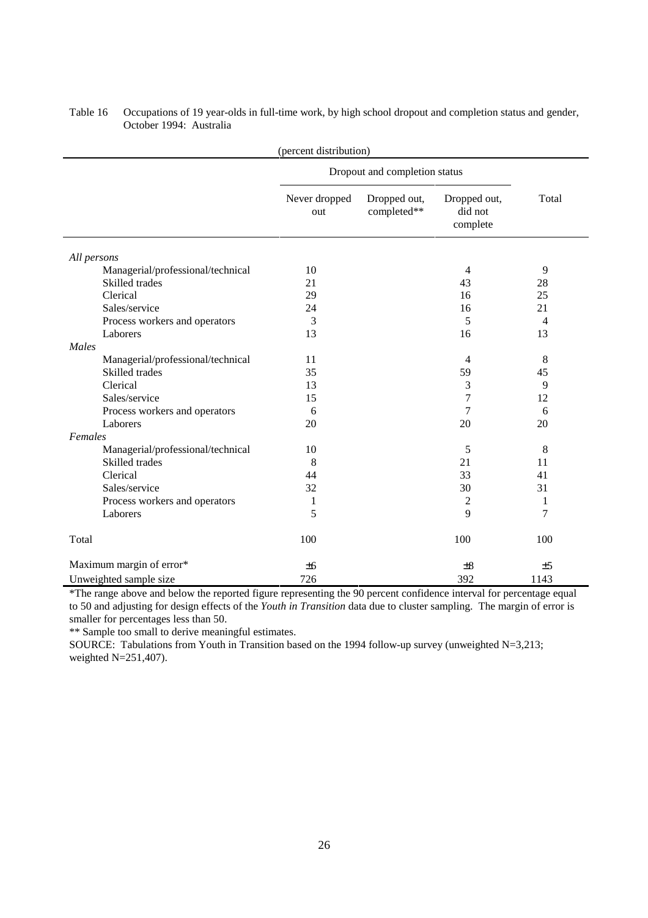| (percent distribution)            |                               |                             |                                     |       |  |
|-----------------------------------|-------------------------------|-----------------------------|-------------------------------------|-------|--|
|                                   | Dropout and completion status |                             |                                     |       |  |
|                                   | Never dropped<br>out          | Dropped out,<br>completed** | Dropped out,<br>did not<br>complete | Total |  |
| All persons                       |                               |                             |                                     |       |  |
| Managerial/professional/technical | 10                            |                             | $\overline{4}$                      | 9     |  |
| Skilled trades                    | 21                            |                             | 43                                  | 28    |  |
| Clerical                          | 29                            |                             | 16                                  | 25    |  |
| Sales/service                     | 24                            |                             | 16                                  | 21    |  |
| Process workers and operators     | 3                             |                             | 5                                   | 4     |  |
| Laborers                          | 13                            |                             | 16                                  | 13    |  |
| Males                             |                               |                             |                                     |       |  |
| Managerial/professional/technical | 11                            |                             | $\overline{4}$                      | 8     |  |
| Skilled trades                    | 35                            |                             | 59                                  | 45    |  |
| Clerical                          | 13                            |                             | 3                                   | 9     |  |
| Sales/service                     | 15                            |                             | 7                                   | 12    |  |
| Process workers and operators     | 6                             |                             | 7                                   | 6     |  |
| Laborers                          | 20                            |                             | 20                                  | 20    |  |
| Females                           |                               |                             |                                     |       |  |
| Managerial/professional/technical | 10                            |                             | 5                                   | 8     |  |
| Skilled trades                    | 8                             |                             | 21                                  | 11    |  |
| Clerical                          | 44                            |                             | 33                                  | 41    |  |
| Sales/service                     | 32                            |                             | 30                                  | 31    |  |
| Process workers and operators     | 1                             |                             | 2                                   | 1     |  |
| Laborers                          | 5                             |                             | 9                                   | 7     |  |
| Total                             | 100                           |                             | 100                                 | 100   |  |
| Maximum margin of error*          | ±6                            |                             | $\pm 8$                             | ±5    |  |
| Unweighted sample size            | 726                           |                             | 392                                 | 1143  |  |

Table 16 Occupations of 19 year-olds in full-time work, by high school dropout and completion status and gender, October 1994: Australia

\*The range above and below the reported figure representing the 90 percent confidence interval for percentage equal to 50 and adjusting for design effects of the *Youth in Transition* data due to cluster sampling. The margin of error is smaller for percentages less than 50.

\*\* Sample too small to derive meaningful estimates.

SOURCE: Tabulations from Youth in Transition based on the 1994 follow-up survey (unweighted N=3,213; weighted N=251,407).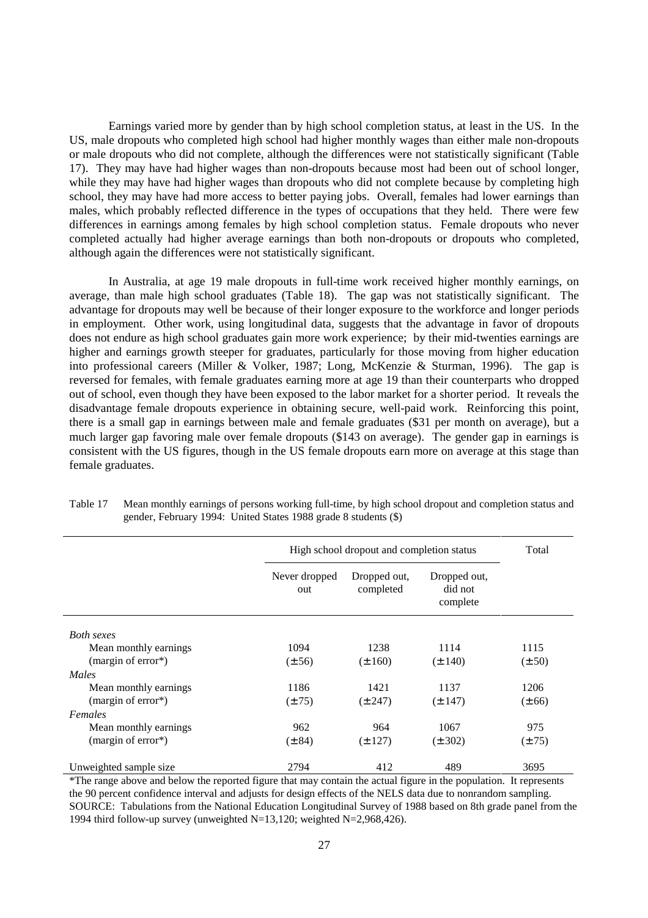Earnings varied more by gender than by high school completion status, at least in the US. In the US, male dropouts who completed high school had higher monthly wages than either male non-dropouts or male dropouts who did not complete, although the differences were not statistically significant (Table 17). They may have had higher wages than non-dropouts because most had been out of school longer, while they may have had higher wages than dropouts who did not complete because by completing high school, they may have had more access to better paying jobs. Overall, females had lower earnings than males, which probably reflected difference in the types of occupations that they held. There were few differences in earnings among females by high school completion status. Female dropouts who never completed actually had higher average earnings than both non-dropouts or dropouts who completed, although again the differences were not statistically significant.

In Australia, at age 19 male dropouts in full-time work received higher monthly earnings, on average, than male high school graduates (Table 18). The gap was not statistically significant. The advantage for dropouts may well be because of their longer exposure to the workforce and longer periods in employment. Other work, using longitudinal data, suggests that the advantage in favor of dropouts does not endure as high school graduates gain more work experience; by their mid-twenties earnings are higher and earnings growth steeper for graduates, particularly for those moving from higher education into professional careers (Miller & Volker, 1987; Long, McKenzie & Sturman, 1996). The gap is reversed for females, with female graduates earning more at age 19 than their counterparts who dropped out of school, even though they have been exposed to the labor market for a shorter period. It reveals the disadvantage female dropouts experience in obtaining secure, well-paid work. Reinforcing this point, there is a small gap in earnings between male and female graduates (\$31 per month on average), but a much larger gap favoring male over female dropouts (\$143 on average). The gender gap in earnings is consistent with the US figures, though in the US female dropouts earn more on average at this stage than female graduates.

|                        | High school dropout and completion status |                           |                                     | Total      |
|------------------------|-------------------------------------------|---------------------------|-------------------------------------|------------|
|                        | Never dropped<br>out                      | Dropped out,<br>completed | Dropped out,<br>did not<br>complete |            |
| <b>Both</b> sexes      |                                           |                           |                                     |            |
| Mean monthly earnings  | 1094                                      | 1238                      | 1114                                | 1115       |
| (margin of error*)     | $(\pm 56)$                                | $(\pm 160)$               | $(\pm 140)$                         | $(\pm 50)$ |
| Males                  |                                           |                           |                                     |            |
| Mean monthly earnings  | 1186                                      | 1421                      | 1137                                | 1206       |
| (margin of error*)     | $(\pm 75)$                                | $(\pm 247)$               | $(\pm 147)$                         | $(\pm 66)$ |
| Females                |                                           |                           |                                     |            |
| Mean monthly earnings  | 962                                       | 964                       | 1067                                | 975        |
| (margin of error*)     | $(\pm 84)$                                | $(\pm 127)$               | $(\pm 302)$                         | $(\pm 75)$ |
| Unweighted sample size | 2794                                      | 412                       | 489                                 | 3695       |

Table 17 Mean monthly earnings of persons working full-time, by high school dropout and completion status and gender, February 1994: United States 1988 grade 8 students (\$)

\*The range above and below the reported figure that may contain the actual figure in the population. It represents the 90 percent confidence interval and adjusts for design effects of the NELS data due to nonrandom sampling. SOURCE: Tabulations from the National Education Longitudinal Survey of 1988 based on 8th grade panel from the 1994 third follow-up survey (unweighted N=13,120; weighted N=2,968,426).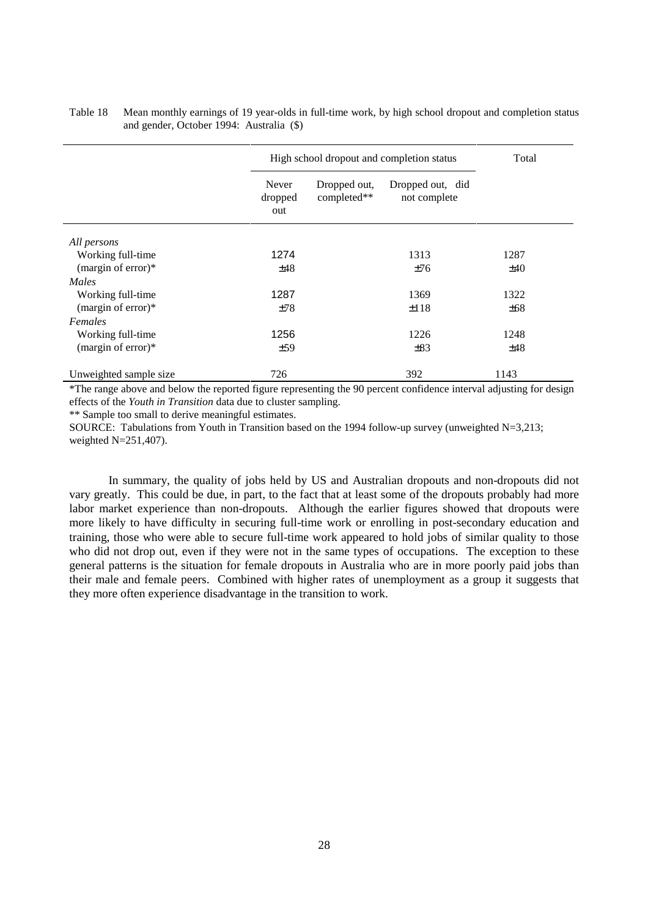|                        |                         | High school dropout and completion status |                                  |      |
|------------------------|-------------------------|-------------------------------------------|----------------------------------|------|
|                        | Never<br>dropped<br>out | Dropped out,<br>completed**               | Dropped out, did<br>not complete |      |
| All persons            |                         |                                           |                                  |      |
| Working full-time      | 1274                    |                                           | 1313                             | 1287 |
| (margin of error) $*$  | ±48                     |                                           | ±76                              | ±40  |
| Males                  |                         |                                           |                                  |      |
| Working full-time      | 1287                    |                                           | 1369                             | 1322 |
| (margin of error) $*$  | ±78                     |                                           | ±118                             | ±68  |
| Females                |                         |                                           |                                  |      |
| Working full-time      | 1256                    |                                           | 1226                             | 1248 |
| (margin of error) $*$  | ±59                     |                                           | $\pm 83$                         | ±48  |
| Unweighted sample size | 726                     |                                           | 392                              | 1143 |

## Table 18 Mean monthly earnings of 19 year-olds in full-time work, by high school dropout and completion status and gender, October 1994: Australia (\$)

\*The range above and below the reported figure representing the 90 percent confidence interval adjusting for design effects of the *Youth in Transition* data due to cluster sampling.

\*\* Sample too small to derive meaningful estimates.

SOURCE: Tabulations from Youth in Transition based on the 1994 follow-up survey (unweighted N=3,213; weighted N=251,407).

In summary, the quality of jobs held by US and Australian dropouts and non-dropouts did not vary greatly. This could be due, in part, to the fact that at least some of the dropouts probably had more labor market experience than non-dropouts. Although the earlier figures showed that dropouts were more likely to have difficulty in securing full-time work or enrolling in post-secondary education and training, those who were able to secure full-time work appeared to hold jobs of similar quality to those who did not drop out, even if they were not in the same types of occupations. The exception to these general patterns is the situation for female dropouts in Australia who are in more poorly paid jobs than their male and female peers. Combined with higher rates of unemployment as a group it suggests that they more often experience disadvantage in the transition to work.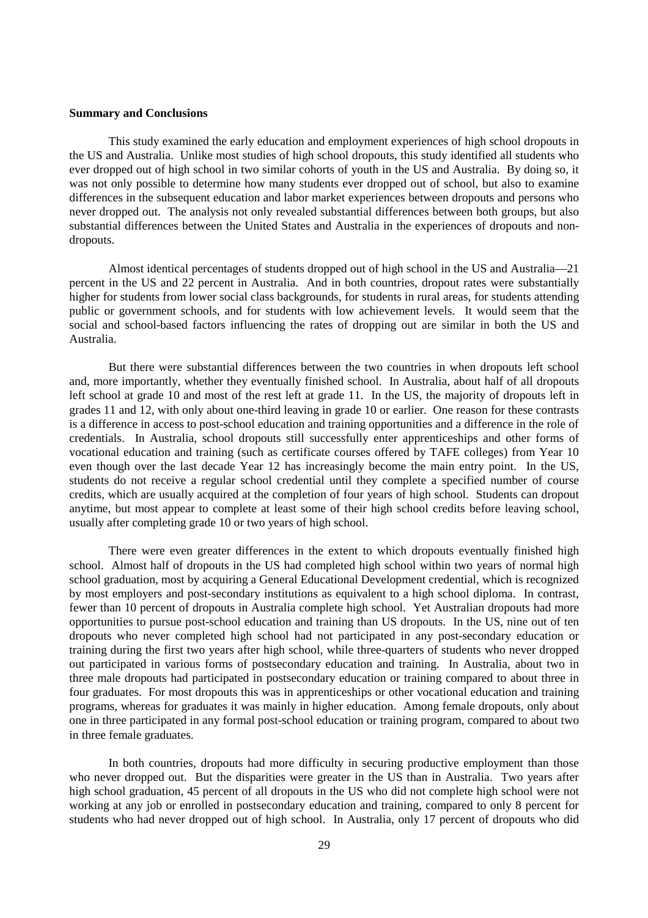#### **Summary and Conclusions**

This study examined the early education and employment experiences of high school dropouts in the US and Australia. Unlike most studies of high school dropouts, this study identified all students who ever dropped out of high school in two similar cohorts of youth in the US and Australia. By doing so, it was not only possible to determine how many students ever dropped out of school, but also to examine differences in the subsequent education and labor market experiences between dropouts and persons who never dropped out. The analysis not only revealed substantial differences between both groups, but also substantial differences between the United States and Australia in the experiences of dropouts and nondropouts.

Almost identical percentages of students dropped out of high school in the US and Australia—21 percent in the US and 22 percent in Australia. And in both countries, dropout rates were substantially higher for students from lower social class backgrounds, for students in rural areas, for students attending public or government schools, and for students with low achievement levels. It would seem that the social and school-based factors influencing the rates of dropping out are similar in both the US and Australia.

But there were substantial differences between the two countries in when dropouts left school and, more importantly, whether they eventually finished school. In Australia, about half of all dropouts left school at grade 10 and most of the rest left at grade 11. In the US, the majority of dropouts left in grades 11 and 12, with only about one-third leaving in grade 10 or earlier. One reason for these contrasts is a difference in access to post-school education and training opportunities and a difference in the role of credentials. In Australia, school dropouts still successfully enter apprenticeships and other forms of vocational education and training (such as certificate courses offered by TAFE colleges) from Year 10 even though over the last decade Year 12 has increasingly become the main entry point. In the US, students do not receive a regular school credential until they complete a specified number of course credits, which are usually acquired at the completion of four years of high school. Students can dropout anytime, but most appear to complete at least some of their high school credits before leaving school, usually after completing grade 10 or two years of high school.

There were even greater differences in the extent to which dropouts eventually finished high school. Almost half of dropouts in the US had completed high school within two years of normal high school graduation, most by acquiring a General Educational Development credential, which is recognized by most employers and post-secondary institutions as equivalent to a high school diploma. In contrast, fewer than 10 percent of dropouts in Australia complete high school. Yet Australian dropouts had more opportunities to pursue post-school education and training than US dropouts. In the US, nine out of ten dropouts who never completed high school had not participated in any post-secondary education or training during the first two years after high school, while three-quarters of students who never dropped out participated in various forms of postsecondary education and training. In Australia, about two in three male dropouts had participated in postsecondary education or training compared to about three in four graduates. For most dropouts this was in apprenticeships or other vocational education and training programs, whereas for graduates it was mainly in higher education. Among female dropouts, only about one in three participated in any formal post-school education or training program, compared to about two in three female graduates.

In both countries, dropouts had more difficulty in securing productive employment than those who never dropped out. But the disparities were greater in the US than in Australia. Two years after high school graduation, 45 percent of all dropouts in the US who did not complete high school were not working at any job or enrolled in postsecondary education and training, compared to only 8 percent for students who had never dropped out of high school. In Australia, only 17 percent of dropouts who did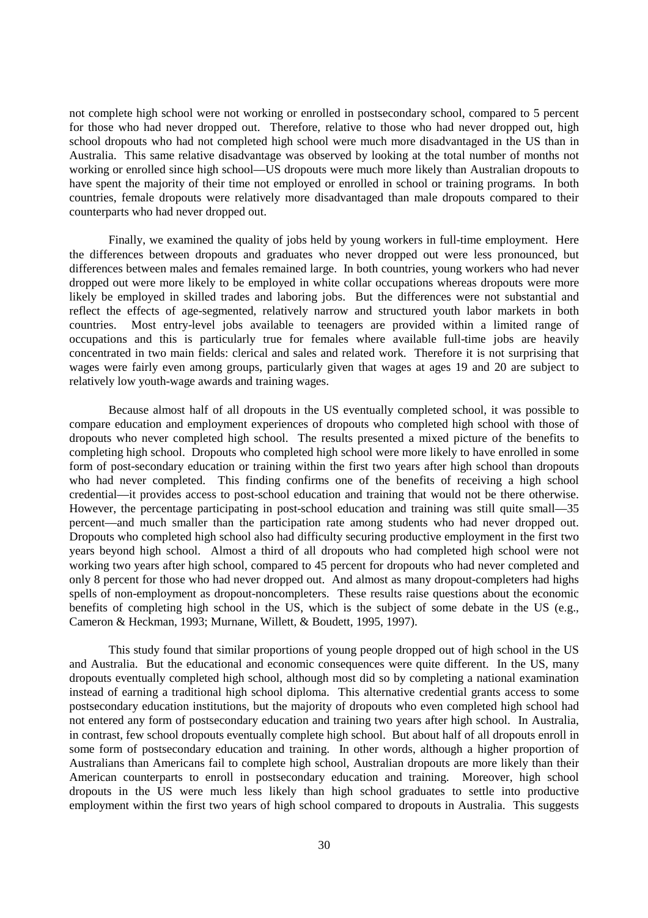not complete high school were not working or enrolled in postsecondary school, compared to 5 percent for those who had never dropped out. Therefore, relative to those who had never dropped out, high school dropouts who had not completed high school were much more disadvantaged in the US than in Australia. This same relative disadvantage was observed by looking at the total number of months not working or enrolled since high school—US dropouts were much more likely than Australian dropouts to have spent the majority of their time not employed or enrolled in school or training programs. In both countries, female dropouts were relatively more disadvantaged than male dropouts compared to their counterparts who had never dropped out.

Finally, we examined the quality of jobs held by young workers in full-time employment. Here the differences between dropouts and graduates who never dropped out were less pronounced, but differences between males and females remained large. In both countries, young workers who had never dropped out were more likely to be employed in white collar occupations whereas dropouts were more likely be employed in skilled trades and laboring jobs. But the differences were not substantial and reflect the effects of age-segmented, relatively narrow and structured youth labor markets in both countries. Most entry-level jobs available to teenagers are provided within a limited range of occupations and this is particularly true for females where available full-time jobs are heavily concentrated in two main fields: clerical and sales and related work. Therefore it is not surprising that wages were fairly even among groups, particularly given that wages at ages 19 and 20 are subject to relatively low youth-wage awards and training wages.

Because almost half of all dropouts in the US eventually completed school, it was possible to compare education and employment experiences of dropouts who completed high school with those of dropouts who never completed high school. The results presented a mixed picture of the benefits to completing high school. Dropouts who completed high school were more likely to have enrolled in some form of post-secondary education or training within the first two years after high school than dropouts who had never completed. This finding confirms one of the benefits of receiving a high school credential—it provides access to post-school education and training that would not be there otherwise. However, the percentage participating in post-school education and training was still quite small—35 percent—and much smaller than the participation rate among students who had never dropped out. Dropouts who completed high school also had difficulty securing productive employment in the first two years beyond high school. Almost a third of all dropouts who had completed high school were not working two years after high school, compared to 45 percent for dropouts who had never completed and only 8 percent for those who had never dropped out. And almost as many dropout-completers had highs spells of non-employment as dropout-noncompleters. These results raise questions about the economic benefits of completing high school in the US, which is the subject of some debate in the US (e.g., Cameron & Heckman, 1993; Murnane, Willett, & Boudett, 1995, 1997).

This study found that similar proportions of young people dropped out of high school in the US and Australia. But the educational and economic consequences were quite different. In the US, many dropouts eventually completed high school, although most did so by completing a national examination instead of earning a traditional high school diploma. This alternative credential grants access to some postsecondary education institutions, but the majority of dropouts who even completed high school had not entered any form of postsecondary education and training two years after high school. In Australia, in contrast, few school dropouts eventually complete high school. But about half of all dropouts enroll in some form of postsecondary education and training. In other words, although a higher proportion of Australians than Americans fail to complete high school, Australian dropouts are more likely than their American counterparts to enroll in postsecondary education and training. Moreover, high school dropouts in the US were much less likely than high school graduates to settle into productive employment within the first two years of high school compared to dropouts in Australia. This suggests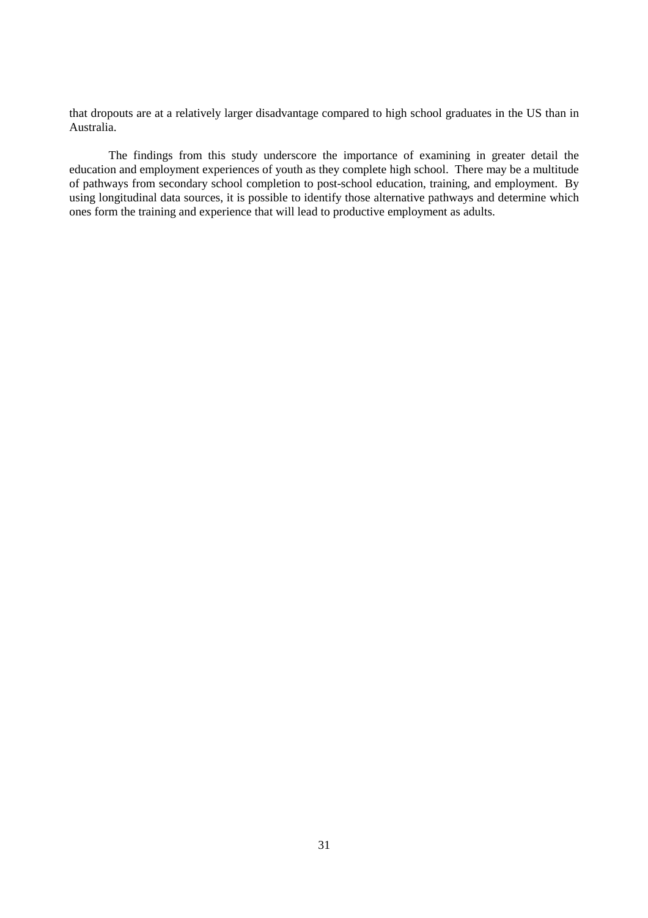that dropouts are at a relatively larger disadvantage compared to high school graduates in the US than in Australia.

The findings from this study underscore the importance of examining in greater detail the education and employment experiences of youth as they complete high school. There may be a multitude of pathways from secondary school completion to post-school education, training, and employment. By using longitudinal data sources, it is possible to identify those alternative pathways and determine which ones form the training and experience that will lead to productive employment as adults.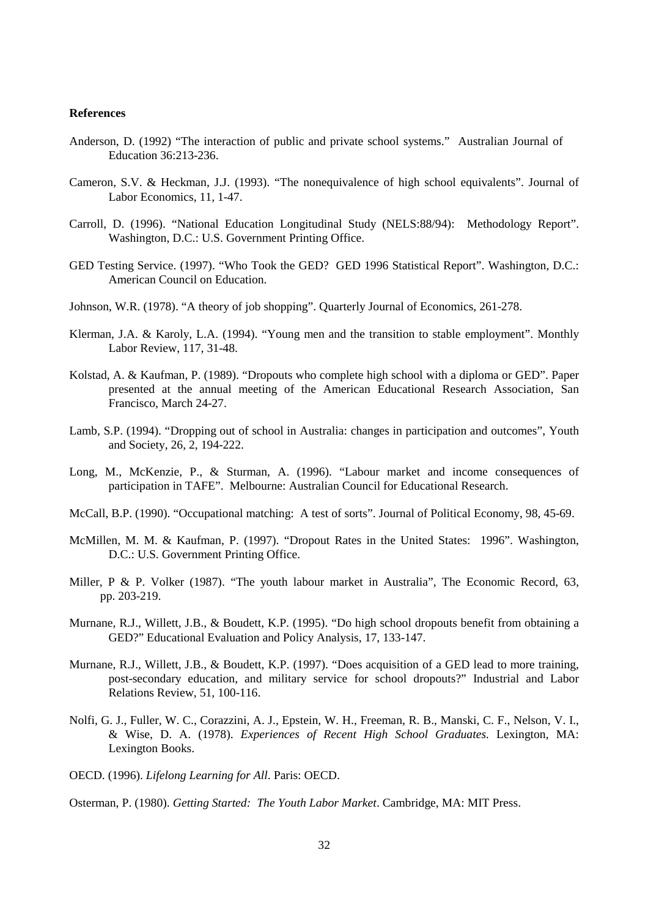#### **References**

- Anderson, D. (1992) "The interaction of public and private school systems." Australian Journal of Education 36:213-236.
- Cameron, S.V. & Heckman, J.J. (1993). "The nonequivalence of high school equivalents". Journal of Labor Economics, 11*,* 1-47.
- Carroll, D. (1996). "National Education Longitudinal Study (NELS:88/94): Methodology Report". Washington, D.C.: U.S. Government Printing Office.
- GED Testing Service. (1997). "Who Took the GED? GED 1996 Statistical Report". Washington, D.C.: American Council on Education.
- Johnson, W.R. (1978). "A theory of job shopping". Quarterly Journal of Economics, 261-278.
- Klerman, J.A. & Karoly, L.A. (1994). "Young men and the transition to stable employment". Monthly Labor Review, 117*,* 31-48.
- Kolstad, A. & Kaufman, P. (1989). "Dropouts who complete high school with a diploma or GED". Paper presented at the annual meeting of the American Educational Research Association, San Francisco, March 24-27.
- Lamb, S.P. (1994). "Dropping out of school in Australia: changes in participation and outcomes", Youth and Society, 26, 2, 194-222.
- Long, M., McKenzie, P., & Sturman, A. (1996). "Labour market and income consequences of participation in TAFE". Melbourne: Australian Council for Educational Research.
- McCall, B.P. (1990). "Occupational matching: A test of sorts". Journal of Political Economy, 98*,* 45-69.
- McMillen, M. M. & Kaufman, P. (1997). "Dropout Rates in the United States: 1996". Washington, D.C.: U.S. Government Printing Office.
- Miller, P & P. Volker (1987). "The youth labour market in Australia", The Economic Record, 63, pp. 203-219.
- Murnane, R.J., Willett, J.B., & Boudett, K.P. (1995). "Do high school dropouts benefit from obtaining a GED?" Educational Evaluation and Policy Analysis, 17*,* 133-147.
- Murnane, R.J., Willett, J.B., & Boudett, K.P. (1997). "Does acquisition of a GED lead to more training, post-secondary education, and military service for school dropouts?" Industrial and Labor Relations Review, 51*,* 100-116.
- Nolfi, G. J., Fuller, W. C., Corazzini, A. J., Epstein, W. H., Freeman, R. B., Manski, C. F., Nelson, V. I., & Wise, D. A. (1978). *Experiences of Recent High School Graduates.* Lexington, MA: Lexington Books.
- OECD. (1996). *Lifelong Learning for All*. Paris: OECD.

Osterman, P. (1980). *Getting Started: The Youth Labor Market*. Cambridge, MA: MIT Press.